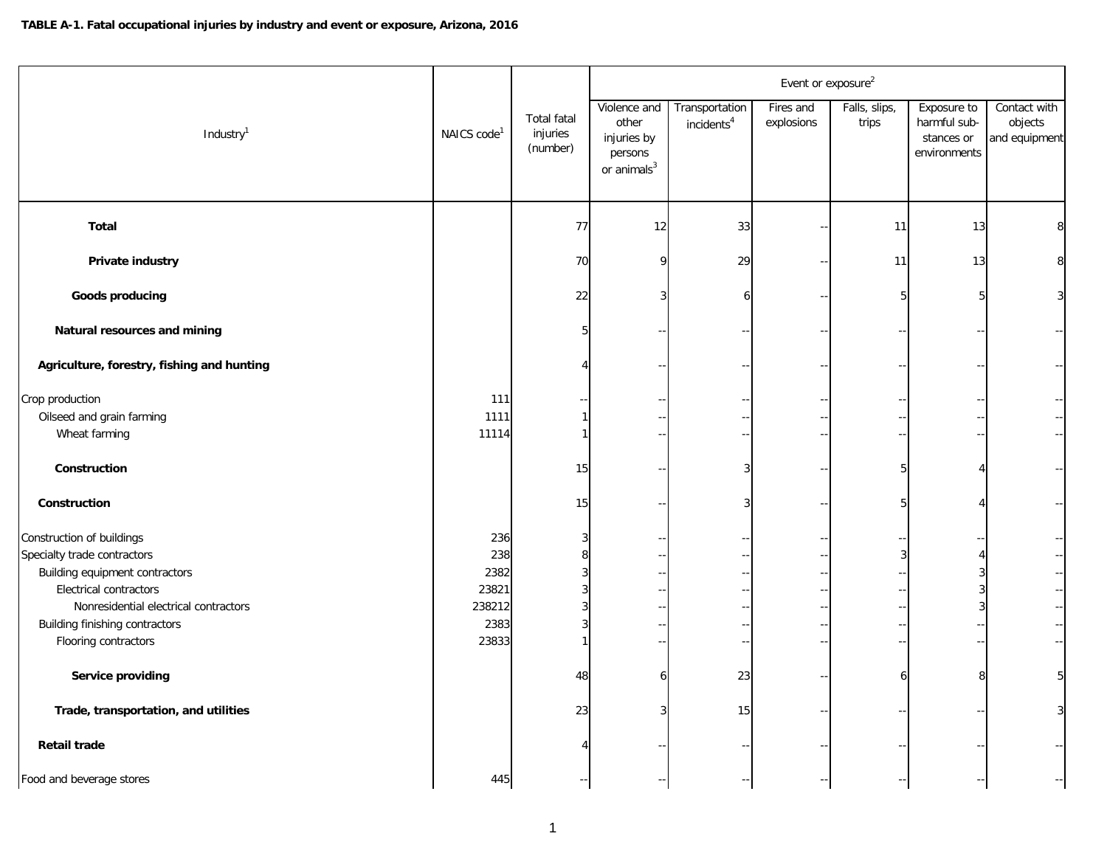|                                                                                                                                                                                                                                                                                      |                                                        |                                        |                                                                            |                                          | Event or exposure <sup>2</sup> |                                    |                                                           |                                                                                                                                                                                                    |
|--------------------------------------------------------------------------------------------------------------------------------------------------------------------------------------------------------------------------------------------------------------------------------------|--------------------------------------------------------|----------------------------------------|----------------------------------------------------------------------------|------------------------------------------|--------------------------------|------------------------------------|-----------------------------------------------------------|----------------------------------------------------------------------------------------------------------------------------------------------------------------------------------------------------|
| Industry <sup>1</sup>                                                                                                                                                                                                                                                                | NAICS code <sup>1</sup>                                | Total fatal<br>injuries<br>(number)    | Violence and<br>other<br>injuries by<br>persons<br>or animals <sup>3</sup> | Transportation<br>incidents <sup>4</sup> | Fires and<br>explosions        | Falls, slips,<br>trips             | Exposure to<br>harmful sub-<br>stances or<br>environments | Contact with<br>objects<br>and equipment                                                                                                                                                           |
| <b>Total</b>                                                                                                                                                                                                                                                                         |                                                        | 77                                     | 12                                                                         | 33                                       |                                | 11                                 | 13                                                        | 8                                                                                                                                                                                                  |
| Private industry                                                                                                                                                                                                                                                                     |                                                        | 70                                     |                                                                            | 29                                       |                                | 11                                 | 13                                                        | 8                                                                                                                                                                                                  |
| <b>Goods producing</b>                                                                                                                                                                                                                                                               |                                                        | 22                                     |                                                                            |                                          |                                | 5                                  |                                                           | $\overline{3}$                                                                                                                                                                                     |
| Natural resources and mining                                                                                                                                                                                                                                                         |                                                        | 5                                      |                                                                            |                                          |                                |                                    |                                                           |                                                                                                                                                                                                    |
| Agriculture, forestry, fishing and hunting                                                                                                                                                                                                                                           |                                                        | 4                                      |                                                                            |                                          |                                |                                    |                                                           | $\sim$                                                                                                                                                                                             |
| Crop production<br>Oilseed and grain farming<br>Wheat farming                                                                                                                                                                                                                        | 111<br>1111<br>11114                                   | 1                                      |                                                                            |                                          |                                |                                    |                                                           | $\mathord{\hspace{1pt}\text{--}\hspace{1pt}}$<br>$\overline{\phantom{a}}$                                                                                                                          |
| Construction                                                                                                                                                                                                                                                                         |                                                        | 15                                     |                                                                            |                                          |                                |                                    |                                                           | $\sim$                                                                                                                                                                                             |
| Construction                                                                                                                                                                                                                                                                         |                                                        | 15                                     |                                                                            | 3                                        |                                | F                                  |                                                           | $\mathcal{L}_{\mathcal{C}}$                                                                                                                                                                        |
| Construction of buildings<br>Specialty trade contractors<br>Building equipment contractors<br>Electrical contractors<br>Nonresidential electrical contractors<br>Building finishing contractors<br>Flooring contractors<br>Service providing<br>Trade, transportation, and utilities | 236<br>238<br>2382<br>23821<br>238212<br>2383<br>23833 | 3<br>8<br>3<br>3<br>3<br>3<br>48<br>23 | 6<br>3                                                                     | 23<br>15                                 |                                | 3<br>$\overline{\phantom{a}}$<br>6 | 8                                                         | $\overline{\phantom{a}}$<br>$\overline{\phantom{a}}$<br>$\sim$ $-$<br>$\overline{\phantom{a}}$<br>$\overline{\phantom{a}}$<br>$\mathord{\hspace{1pt}\text{--}\hspace{1pt}}$<br>5 <sup>1</sup><br>3 |
| Retail trade                                                                                                                                                                                                                                                                         |                                                        |                                        |                                                                            |                                          |                                |                                    |                                                           |                                                                                                                                                                                                    |
| Food and beverage stores                                                                                                                                                                                                                                                             | 445                                                    |                                        |                                                                            |                                          |                                |                                    |                                                           | $\sim$                                                                                                                                                                                             |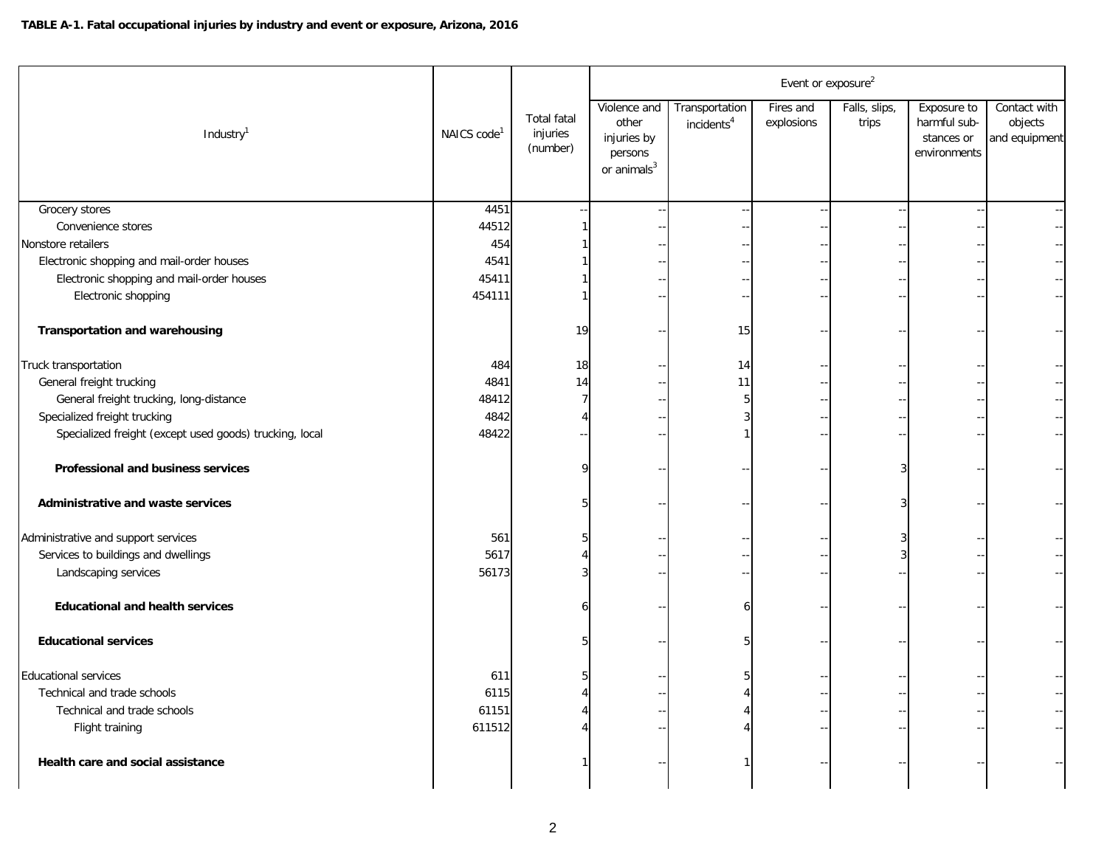|                                                         |                         |                                            |                                                                            |                                          | Event or exposure <sup>2</sup> |                        |                                                           |                                          |
|---------------------------------------------------------|-------------------------|--------------------------------------------|----------------------------------------------------------------------------|------------------------------------------|--------------------------------|------------------------|-----------------------------------------------------------|------------------------------------------|
| Industry $1$                                            | NAICS code <sup>1</sup> | <b>Total fatal</b><br>injuries<br>(number) | Violence and<br>other<br>injuries by<br>persons<br>or animals <sup>3</sup> | Transportation<br>incidents <sup>4</sup> | Fires and<br>explosions        | Falls, slips,<br>trips | Exposure to<br>harmful sub-<br>stances or<br>environments | Contact with<br>objects<br>and equipment |
| Grocery stores                                          | 4451                    |                                            |                                                                            |                                          |                                |                        |                                                           |                                          |
| Convenience stores                                      | 44512                   |                                            |                                                                            |                                          |                                |                        |                                                           |                                          |
| Nonstore retailers                                      | 454                     |                                            |                                                                            |                                          |                                |                        |                                                           |                                          |
| Electronic shopping and mail-order houses               | 4541                    |                                            |                                                                            |                                          |                                |                        |                                                           |                                          |
| Electronic shopping and mail-order houses               | 45411                   |                                            |                                                                            |                                          |                                |                        |                                                           |                                          |
| Electronic shopping                                     | 454111                  |                                            |                                                                            |                                          |                                |                        |                                                           |                                          |
| <b>Transportation and warehousing</b>                   |                         | 19                                         |                                                                            | 15                                       |                                |                        |                                                           |                                          |
| Truck transportation                                    | 484                     | 18                                         |                                                                            | 14                                       |                                |                        |                                                           |                                          |
| General freight trucking                                | 4841                    | 14                                         |                                                                            | 11                                       |                                |                        |                                                           |                                          |
| General freight trucking, long-distance                 | 48412                   | 7                                          |                                                                            | 5                                        |                                |                        |                                                           |                                          |
| Specialized freight trucking                            | 4842                    |                                            |                                                                            |                                          |                                |                        |                                                           |                                          |
| Specialized freight (except used goods) trucking, local | 48422                   |                                            |                                                                            |                                          |                                |                        |                                                           |                                          |
| Professional and business services                      |                         |                                            |                                                                            |                                          |                                |                        |                                                           |                                          |
| Administrative and waste services                       |                         |                                            |                                                                            |                                          |                                |                        |                                                           |                                          |
| Administrative and support services                     | 561                     |                                            |                                                                            |                                          |                                |                        |                                                           |                                          |
| Services to buildings and dwellings                     | 5617                    |                                            |                                                                            |                                          |                                |                        |                                                           |                                          |
| Landscaping services                                    | 56173                   |                                            |                                                                            |                                          |                                |                        |                                                           |                                          |
| <b>Educational and health services</b>                  |                         |                                            |                                                                            |                                          |                                |                        |                                                           |                                          |
| <b>Educational services</b>                             |                         |                                            |                                                                            |                                          |                                |                        |                                                           |                                          |
| <b>Educational services</b>                             | 611                     |                                            |                                                                            |                                          |                                |                        |                                                           |                                          |
| Technical and trade schools                             | 6115                    |                                            |                                                                            |                                          |                                |                        |                                                           |                                          |
| Technical and trade schools                             | 61151                   |                                            |                                                                            |                                          |                                |                        |                                                           |                                          |
| Flight training                                         | 611512                  |                                            |                                                                            |                                          |                                |                        |                                                           |                                          |
| Health care and social assistance                       |                         |                                            |                                                                            |                                          |                                |                        |                                                           |                                          |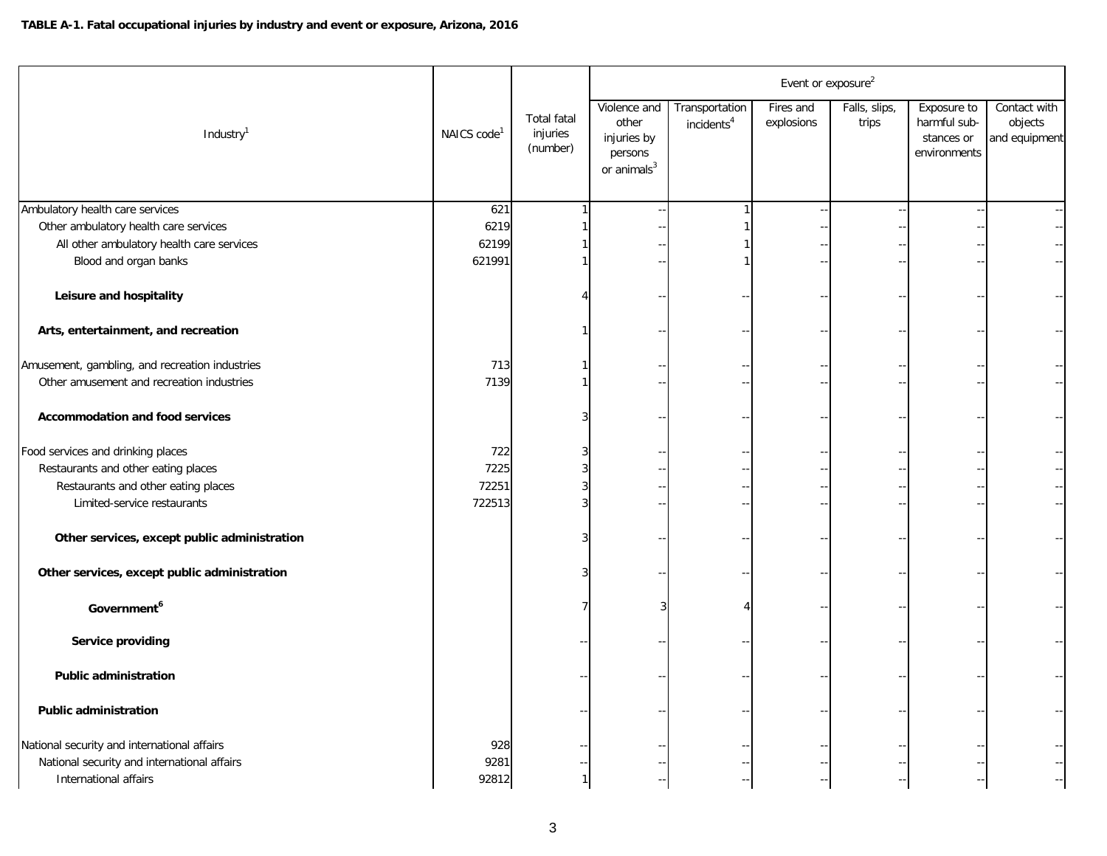|                                                |                         |                                            |                                                                            |                                          | Event or exposure <sup>2</sup> |                        |                                                           |                                          |
|------------------------------------------------|-------------------------|--------------------------------------------|----------------------------------------------------------------------------|------------------------------------------|--------------------------------|------------------------|-----------------------------------------------------------|------------------------------------------|
| Industry <sup>1</sup>                          | NAICS code <sup>1</sup> | <b>Total fatal</b><br>injuries<br>(number) | Violence and<br>other<br>injuries by<br>persons<br>or animals <sup>3</sup> | Transportation<br>incidents <sup>4</sup> | Fires and<br>explosions        | Falls, slips,<br>trips | Exposure to<br>harmful sub-<br>stances or<br>environments | Contact with<br>objects<br>and equipment |
| Ambulatory health care services                | 621                     |                                            |                                                                            |                                          |                                |                        |                                                           |                                          |
| Other ambulatory health care services          | 6219                    |                                            |                                                                            |                                          |                                |                        |                                                           |                                          |
| All other ambulatory health care services      | 62199                   |                                            |                                                                            |                                          |                                |                        |                                                           |                                          |
| Blood and organ banks                          | 621991                  |                                            |                                                                            |                                          |                                |                        |                                                           |                                          |
| Leisure and hospitality                        |                         |                                            |                                                                            |                                          |                                |                        |                                                           |                                          |
| Arts, entertainment, and recreation            |                         |                                            |                                                                            |                                          |                                |                        |                                                           |                                          |
| Amusement, gambling, and recreation industries | 713                     |                                            |                                                                            |                                          |                                |                        |                                                           |                                          |
| Other amusement and recreation industries      | 7139                    |                                            |                                                                            |                                          |                                |                        |                                                           |                                          |
| <b>Accommodation and food services</b>         |                         |                                            |                                                                            |                                          |                                |                        |                                                           |                                          |
| Food services and drinking places              | 722                     |                                            |                                                                            |                                          |                                |                        |                                                           |                                          |
| Restaurants and other eating places            | 7225                    |                                            |                                                                            |                                          |                                |                        |                                                           |                                          |
| Restaurants and other eating places            | 72251                   |                                            |                                                                            |                                          |                                |                        |                                                           |                                          |
| Limited-service restaurants                    | 722513                  |                                            |                                                                            |                                          |                                |                        |                                                           |                                          |
| Other services, except public administration   |                         |                                            |                                                                            |                                          |                                |                        |                                                           |                                          |
| Other services, except public administration   |                         |                                            |                                                                            |                                          |                                |                        |                                                           |                                          |
| Government <sup>6</sup>                        |                         |                                            |                                                                            |                                          |                                |                        |                                                           |                                          |
| Service providing                              |                         |                                            |                                                                            |                                          |                                |                        |                                                           |                                          |
| <b>Public administration</b>                   |                         |                                            |                                                                            |                                          |                                |                        |                                                           |                                          |
| <b>Public administration</b>                   |                         |                                            |                                                                            |                                          |                                |                        |                                                           |                                          |
| National security and international affairs    | 928                     |                                            |                                                                            |                                          |                                |                        |                                                           |                                          |
| National security and international affairs    | 9281                    |                                            |                                                                            |                                          |                                |                        |                                                           |                                          |
| International affairs                          | 92812                   | 1                                          |                                                                            |                                          |                                |                        |                                                           |                                          |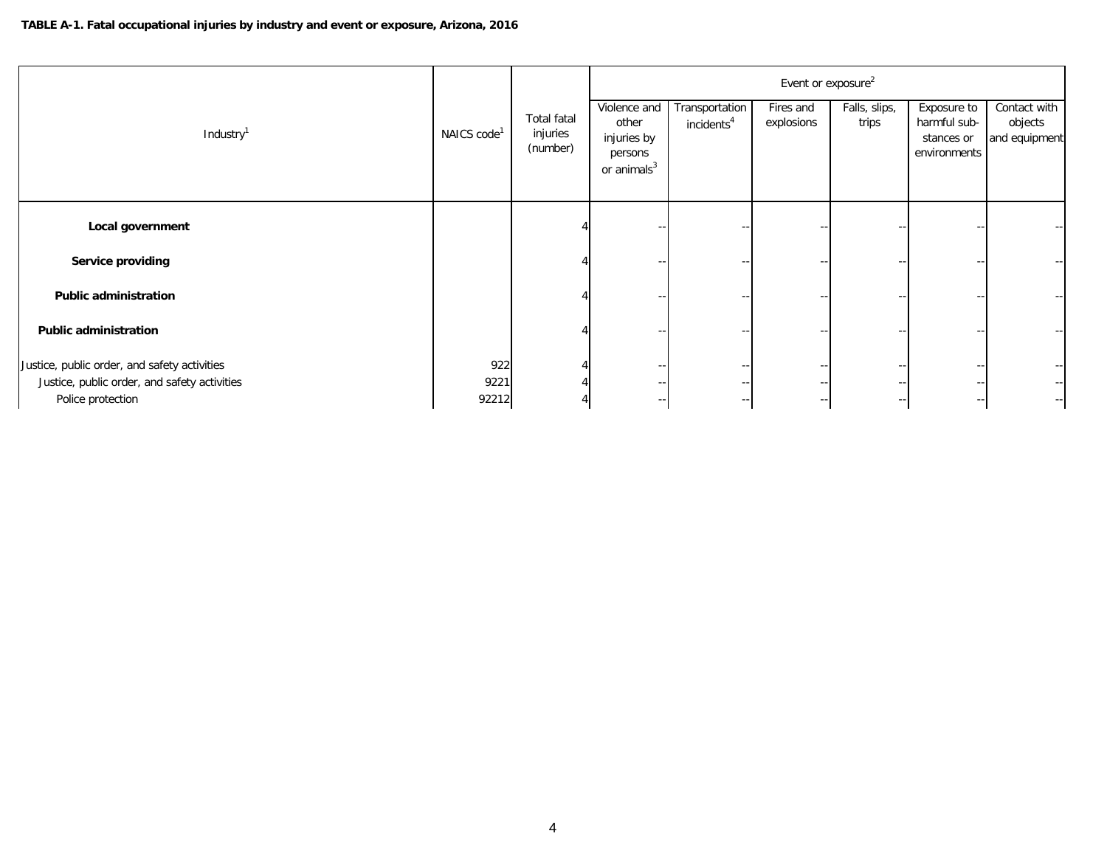|                                              |                         |                                            |                                                                            |                                          | Event or exposure <sup>2</sup> |                        |                                                           |                                          |
|----------------------------------------------|-------------------------|--------------------------------------------|----------------------------------------------------------------------------|------------------------------------------|--------------------------------|------------------------|-----------------------------------------------------------|------------------------------------------|
| Industry <sup>1</sup>                        | NAICS code <sup>1</sup> | <b>Total fatal</b><br>injuries<br>(number) | Violence and<br>other<br>injuries by<br>persons<br>or animals <sup>3</sup> | Transportation<br>incidents <sup>4</sup> | Fires and<br>explosions        | Falls, slips,<br>trips | Exposure to<br>harmful sub-<br>stances or<br>environments | Contact with<br>objects<br>and equipment |
| Local government                             |                         |                                            |                                                                            |                                          |                                |                        |                                                           |                                          |
| Service providing                            |                         |                                            |                                                                            |                                          |                                |                        | $\overline{\phantom{a}}$                                  | $\overline{\phantom{m}}$                 |
| <b>Public administration</b>                 |                         |                                            |                                                                            |                                          |                                |                        |                                                           |                                          |
|                                              |                         |                                            |                                                                            |                                          |                                |                        |                                                           |                                          |
| <b>Public administration</b>                 |                         |                                            |                                                                            |                                          |                                |                        | $\overline{\phantom{a}}$                                  | $\overline{\phantom{m}}$                 |
| Justice, public order, and safety activities | 922                     |                                            |                                                                            |                                          |                                |                        | $\overline{\phantom{a}}$                                  | $\overline{\phantom{a}}$                 |
| Justice, public order, and safety activities | 9221                    |                                            |                                                                            |                                          |                                |                        | $\overline{\phantom{a}}$                                  | $- - 1$                                  |
| Police protection                            | 92212                   |                                            |                                                                            |                                          |                                |                        | $\overline{\phantom{a}}$                                  | $\sim$ $-$                               |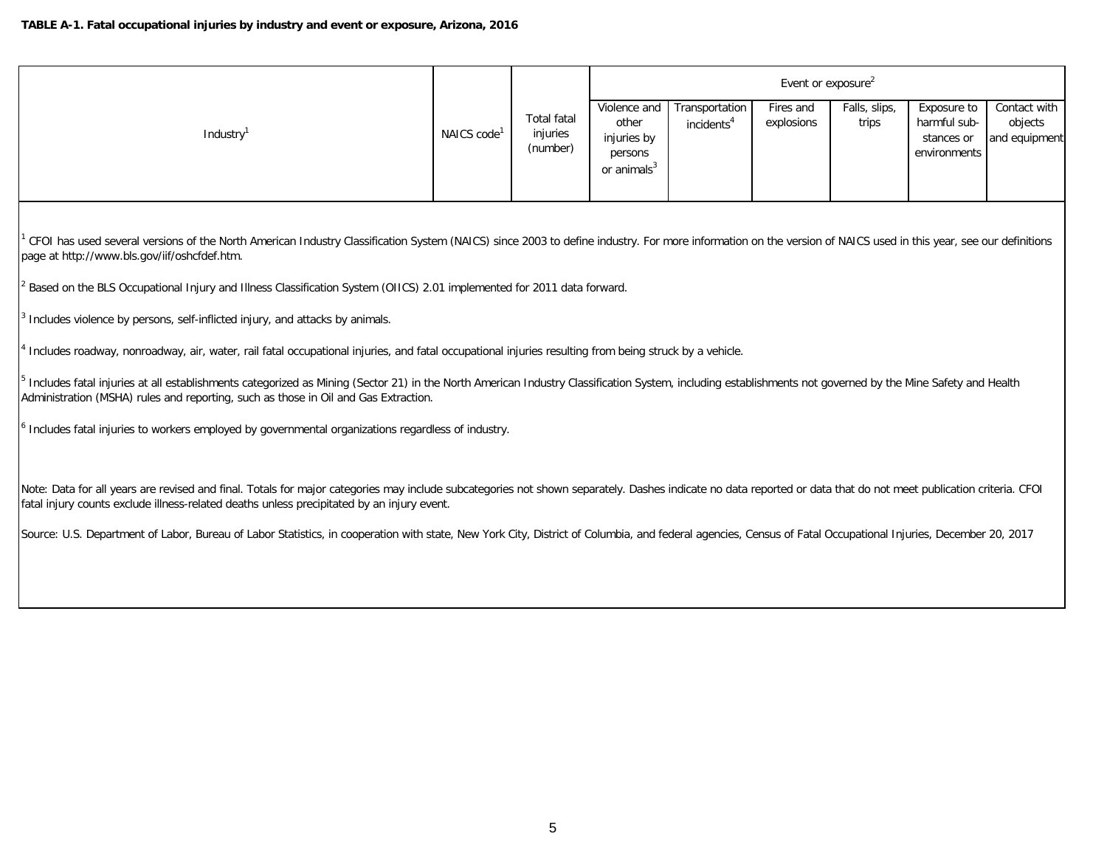|          |                         |                                            | Event or exposure <sup>2</sup>                                             |                                          |                         |                        |                                                           |                                          |  |  |
|----------|-------------------------|--------------------------------------------|----------------------------------------------------------------------------|------------------------------------------|-------------------------|------------------------|-----------------------------------------------------------|------------------------------------------|--|--|
| Industry | NAICS code <sup>1</sup> | <b>Total fatal</b><br>injuries<br>(number) | Violence and<br>other<br>injuries by<br>persons<br>or animals <sup>3</sup> | Transportation<br>incidents <sup>4</sup> | Fires and<br>explosions | Falls, slips,<br>trips | Exposure to<br>harmful sub-<br>stances or<br>environments | Contact with<br>objects<br>and equipment |  |  |

1 CFOI has used several versions of the North American Industry Classification System (NAICS) since 2003 to define industry. For more information on the version of NAICS used in this year, see our definitions page at http://www.bls.gov/iif/oshcfdef.htm.

2 Based on the BLS Occupational Injury and Illness Classification System (OIICS) 2.01 implemented for 2011 data forward.

3 Includes violence by persons, self-inflicted injury, and attacks by animals.

<sup>4</sup> Includes roadway, nonroadway, air, water, rail fatal occupational injuries, and fatal occupational injuries resulting from being struck by a vehicle.

<sup>5</sup> Includes fatal injuries at all establishments categorized as Mining (Sector 21) in the North American Industry Classification System, including establishments not governed by the Mine Safety and Health Administration (MSHA) rules and reporting, such as those in Oil and Gas Extraction.

<sup>6</sup> Includes fatal injuries to workers employed by governmental organizations regardless of industry.

Note: Data for all years are revised and final. Totals for major categories may include subcategories not shown separately. Dashes indicate no data reported or data that do not meet publication criteria. CFOI fatal injury counts exclude illness-related deaths unless precipitated by an injury event.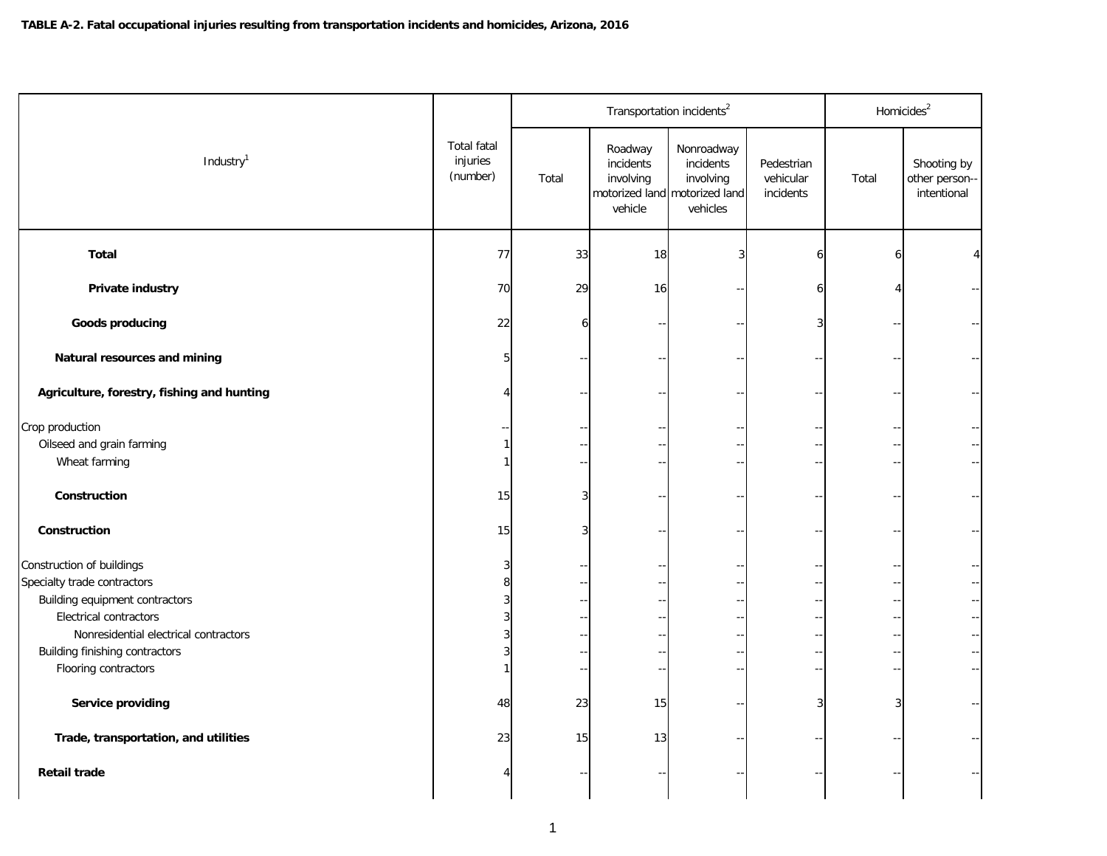|                                            |                                            |       | Transportation incidents <sup>2</sup>        |                                                                                   |                                      |       | Homicides <sup>2</sup>                      |
|--------------------------------------------|--------------------------------------------|-------|----------------------------------------------|-----------------------------------------------------------------------------------|--------------------------------------|-------|---------------------------------------------|
| Industry <sup>1</sup>                      | <b>Total fatal</b><br>injuries<br>(number) | Total | Roadway<br>incidents<br>involving<br>vehicle | Nonroadway<br>incidents<br>involving<br>motorized land motorized land<br>vehicles | Pedestrian<br>vehicular<br>incidents | Total | Shooting by<br>other person-<br>intentional |
| <b>Total</b>                               | 77                                         | 33    | 18                                           | $\overline{3}$                                                                    | 61                                   | 6     | 4                                           |
| Private industry                           | 70                                         | 29    | 16                                           |                                                                                   | 6                                    |       |                                             |
| <b>Goods producing</b>                     | 22                                         |       |                                              |                                                                                   | 3                                    |       |                                             |
| Natural resources and mining               |                                            |       |                                              |                                                                                   |                                      |       |                                             |
| Agriculture, forestry, fishing and hunting |                                            |       |                                              |                                                                                   |                                      |       |                                             |
| Crop production                            |                                            |       |                                              |                                                                                   |                                      |       |                                             |
| Oilseed and grain farming                  |                                            |       |                                              |                                                                                   |                                      |       |                                             |
| Wheat farming                              |                                            |       |                                              |                                                                                   |                                      |       |                                             |
| Construction                               | 15                                         |       |                                              |                                                                                   |                                      |       |                                             |
| Construction                               | 15                                         |       |                                              |                                                                                   |                                      |       |                                             |
| Construction of buildings                  |                                            |       |                                              |                                                                                   |                                      |       |                                             |
| Specialty trade contractors                |                                            |       |                                              |                                                                                   |                                      |       |                                             |
| Building equipment contractors             |                                            |       |                                              |                                                                                   |                                      |       |                                             |
| <b>Electrical contractors</b>              |                                            |       |                                              |                                                                                   |                                      |       |                                             |
| Nonresidential electrical contractors      |                                            |       |                                              |                                                                                   |                                      |       |                                             |
| Building finishing contractors             |                                            |       |                                              |                                                                                   |                                      |       |                                             |
| Flooring contractors                       |                                            |       |                                              |                                                                                   |                                      |       |                                             |
| Service providing                          | 48                                         | 23    | 15                                           |                                                                                   | 3                                    | 3     |                                             |
| Trade, transportation, and utilities       | 23                                         | 15    | 13                                           |                                                                                   |                                      |       |                                             |
| <b>Retail trade</b>                        |                                            |       |                                              |                                                                                   |                                      |       |                                             |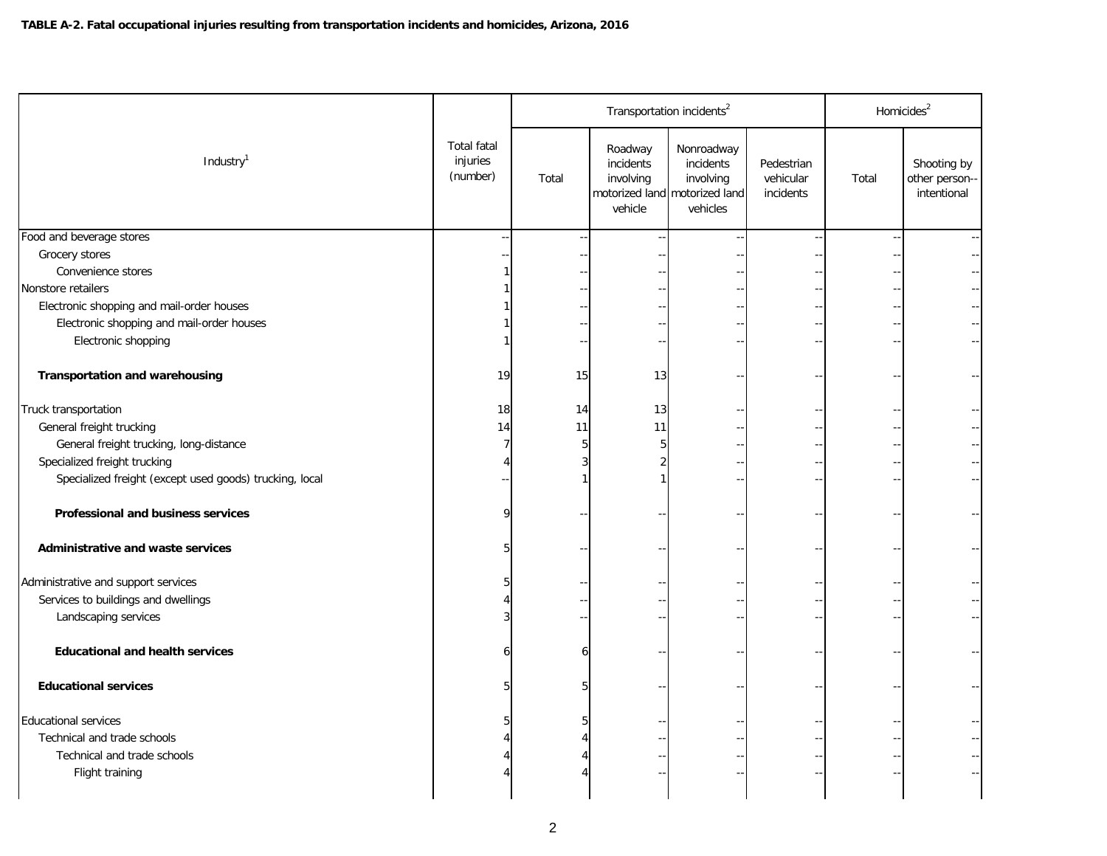|                                                         |                                            |       |                                              | Transportation incidents <sup>2</sup>                                             |                                      | Homicides <sup>2</sup> |                                              |  |
|---------------------------------------------------------|--------------------------------------------|-------|----------------------------------------------|-----------------------------------------------------------------------------------|--------------------------------------|------------------------|----------------------------------------------|--|
| Industry <sup>1</sup>                                   | <b>Total fatal</b><br>injuries<br>(number) | Total | Roadway<br>incidents<br>involving<br>vehicle | Nonroadway<br>incidents<br>involving<br>motorized land motorized land<br>vehicles | Pedestrian<br>vehicular<br>incidents | Total                  | Shooting by<br>other person--<br>intentional |  |
| Food and beverage stores                                |                                            |       |                                              |                                                                                   |                                      |                        |                                              |  |
| Grocery stores                                          |                                            |       |                                              |                                                                                   |                                      |                        |                                              |  |
| Convenience stores                                      |                                            |       |                                              |                                                                                   |                                      |                        |                                              |  |
| Nonstore retailers                                      |                                            |       |                                              |                                                                                   |                                      |                        |                                              |  |
| Electronic shopping and mail-order houses               |                                            |       |                                              |                                                                                   |                                      |                        |                                              |  |
| Electronic shopping and mail-order houses               |                                            |       |                                              |                                                                                   |                                      |                        |                                              |  |
| Electronic shopping                                     |                                            |       |                                              |                                                                                   |                                      |                        |                                              |  |
|                                                         |                                            |       |                                              |                                                                                   |                                      |                        |                                              |  |
| <b>Transportation and warehousing</b>                   | 19                                         | 15    | 13                                           |                                                                                   |                                      |                        |                                              |  |
| Truck transportation                                    | 18                                         | 14    | 13                                           |                                                                                   |                                      |                        |                                              |  |
| General freight trucking                                | 14                                         | 11    | 11                                           |                                                                                   |                                      |                        |                                              |  |
| General freight trucking, long-distance                 |                                            |       |                                              |                                                                                   |                                      |                        |                                              |  |
| Specialized freight trucking                            |                                            |       |                                              |                                                                                   |                                      |                        |                                              |  |
| Specialized freight (except used goods) trucking, local |                                            |       |                                              |                                                                                   |                                      |                        |                                              |  |
| Professional and business services                      |                                            |       |                                              |                                                                                   |                                      |                        |                                              |  |
| Administrative and waste services                       |                                            |       |                                              |                                                                                   |                                      |                        |                                              |  |
| Administrative and support services                     |                                            |       |                                              |                                                                                   |                                      |                        |                                              |  |
| Services to buildings and dwellings                     |                                            |       |                                              |                                                                                   |                                      |                        |                                              |  |
| Landscaping services                                    |                                            |       |                                              |                                                                                   |                                      |                        |                                              |  |
| <b>Educational and health services</b>                  |                                            |       |                                              |                                                                                   |                                      |                        |                                              |  |
| <b>Educational services</b>                             |                                            |       |                                              |                                                                                   |                                      |                        |                                              |  |
| <b>Educational services</b>                             |                                            |       |                                              |                                                                                   |                                      |                        |                                              |  |
| Technical and trade schools                             |                                            |       |                                              |                                                                                   |                                      |                        |                                              |  |
| Technical and trade schools                             |                                            |       |                                              |                                                                                   |                                      |                        |                                              |  |
| Flight training                                         |                                            |       |                                              |                                                                                   |                                      |                        |                                              |  |
|                                                         |                                            |       |                                              |                                                                                   |                                      |                        |                                              |  |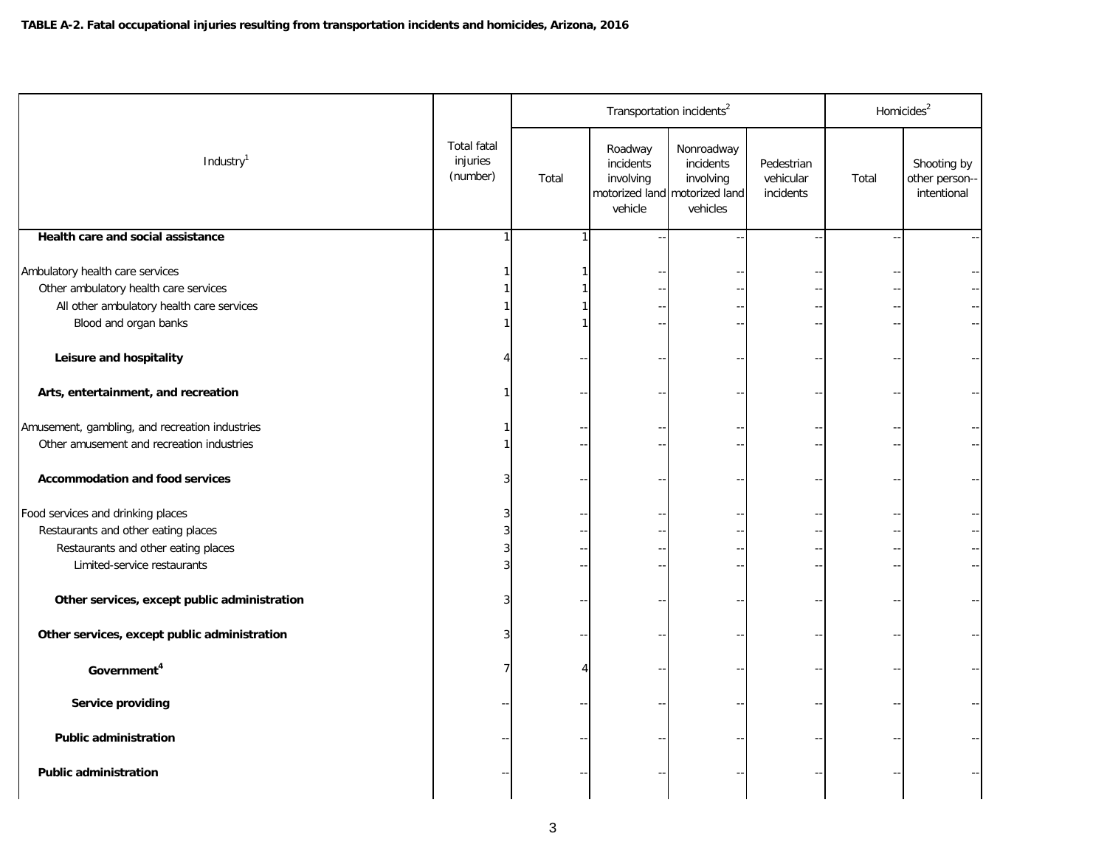|                                                                                                                                                |                                            |       | Transportation incidents <sup>2</sup>        |                                                                                   |                                      |       | Homicides <sup>2</sup>                       |
|------------------------------------------------------------------------------------------------------------------------------------------------|--------------------------------------------|-------|----------------------------------------------|-----------------------------------------------------------------------------------|--------------------------------------|-------|----------------------------------------------|
| Industry <sup>1</sup>                                                                                                                          | <b>Total fatal</b><br>injuries<br>(number) | Total | Roadway<br>incidents<br>involving<br>vehicle | Nonroadway<br>incidents<br>involving<br>motorized land motorized land<br>vehicles | Pedestrian<br>vehicular<br>incidents | Total | Shooting by<br>other person--<br>intentional |
| Health care and social assistance                                                                                                              |                                            |       |                                              |                                                                                   |                                      |       |                                              |
| Ambulatory health care services<br>Other ambulatory health care services<br>All other ambulatory health care services<br>Blood and organ banks |                                            |       |                                              |                                                                                   |                                      |       |                                              |
| Leisure and hospitality                                                                                                                        |                                            |       |                                              |                                                                                   |                                      |       |                                              |
| Arts, entertainment, and recreation                                                                                                            |                                            |       |                                              |                                                                                   |                                      |       |                                              |
| Amusement, gambling, and recreation industries<br>Other amusement and recreation industries                                                    |                                            |       |                                              |                                                                                   |                                      |       |                                              |
| <b>Accommodation and food services</b>                                                                                                         |                                            |       |                                              |                                                                                   |                                      |       |                                              |
| Food services and drinking places<br>Restaurants and other eating places<br>Restaurants and other eating places<br>Limited-service restaurants |                                            |       |                                              |                                                                                   |                                      |       |                                              |
| Other services, except public administration                                                                                                   |                                            |       |                                              |                                                                                   |                                      |       |                                              |
| Other services, except public administration                                                                                                   |                                            |       |                                              |                                                                                   |                                      |       |                                              |
| Government <sup>4</sup>                                                                                                                        |                                            |       |                                              |                                                                                   |                                      |       |                                              |
| Service providing                                                                                                                              |                                            |       |                                              |                                                                                   |                                      |       |                                              |
| <b>Public administration</b>                                                                                                                   |                                            |       |                                              |                                                                                   |                                      |       |                                              |
| <b>Public administration</b>                                                                                                                   |                                            |       |                                              |                                                                                   |                                      |       |                                              |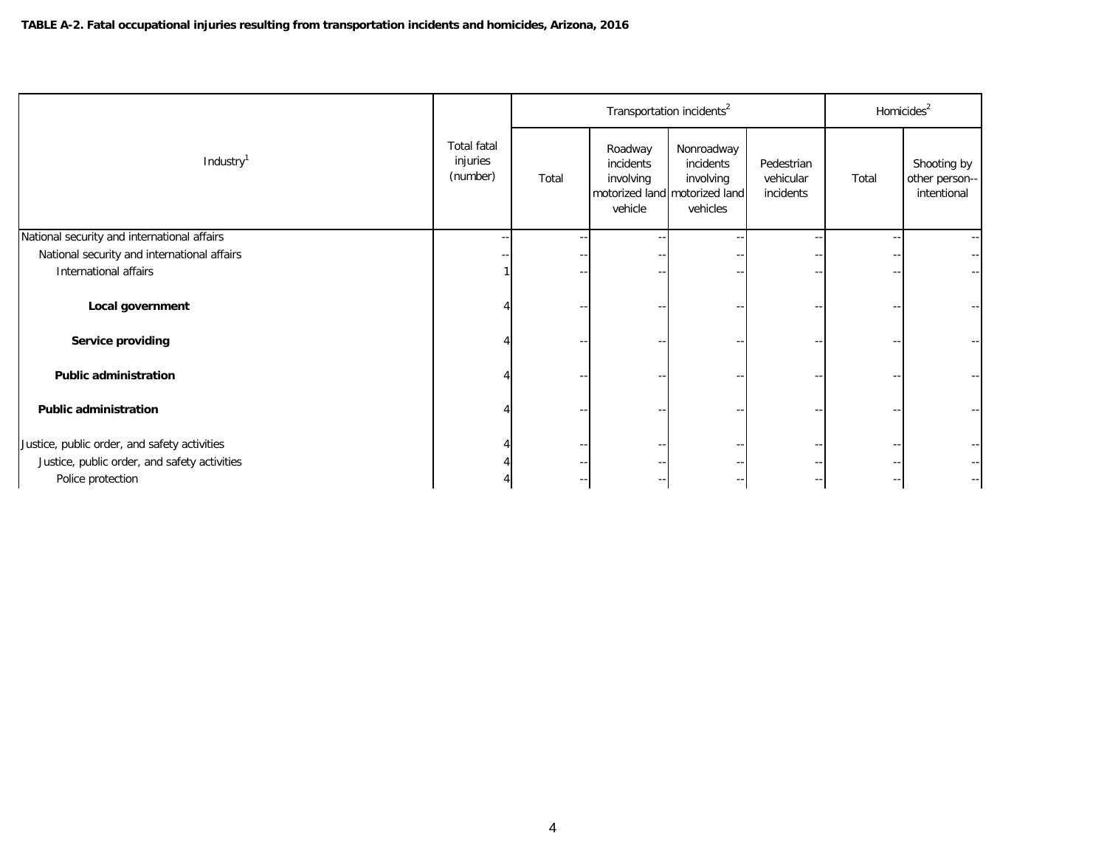|                                              |                                            |       |                                              | Transportation incidents <sup>2</sup>                                             |                                      |       | Homicides <sup>2</sup>                       |
|----------------------------------------------|--------------------------------------------|-------|----------------------------------------------|-----------------------------------------------------------------------------------|--------------------------------------|-------|----------------------------------------------|
| Industry <sup>1</sup>                        | <b>Total fatal</b><br>injuries<br>(number) | Total | Roadway<br>incidents<br>involving<br>vehicle | Nonroadway<br>incidents<br>involving<br>motorized land motorized land<br>vehicles | Pedestrian<br>vehicular<br>incidents | Total | Shooting by<br>other person--<br>intentional |
| National security and international affairs  |                                            |       |                                              |                                                                                   |                                      |       | $\overline{\phantom{a}}$                     |
| National security and international affairs  |                                            |       |                                              |                                                                                   |                                      |       |                                              |
| International affairs                        |                                            |       |                                              |                                                                                   |                                      | --    | $- -$                                        |
| Local government                             |                                            |       |                                              |                                                                                   |                                      |       |                                              |
| Service providing                            |                                            |       |                                              |                                                                                   |                                      | --    | --                                           |
| <b>Public administration</b>                 |                                            |       |                                              |                                                                                   |                                      |       |                                              |
| <b>Public administration</b>                 |                                            |       |                                              |                                                                                   |                                      |       |                                              |
| Justice, public order, and safety activities |                                            |       |                                              |                                                                                   |                                      | --    |                                              |
| Justice, public order, and safety activities |                                            |       |                                              |                                                                                   |                                      | $- -$ | --                                           |
| Police protection                            |                                            |       |                                              |                                                                                   |                                      |       | $--$                                         |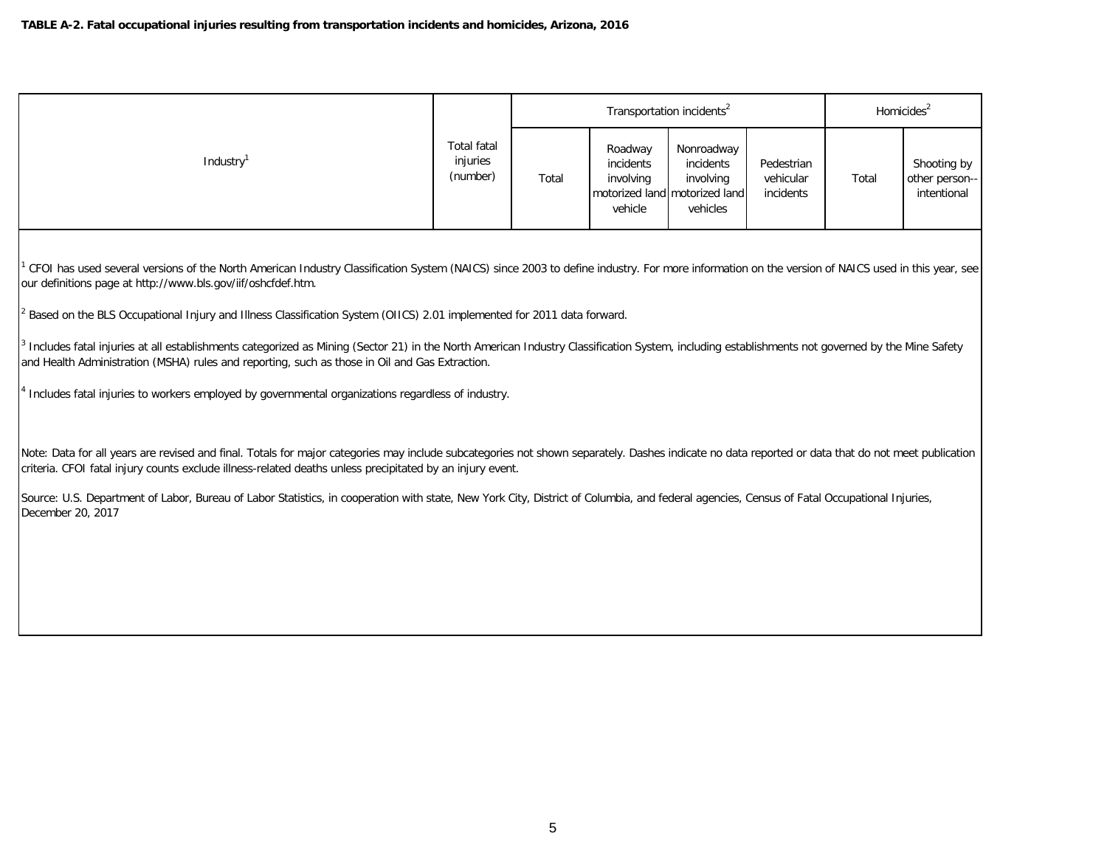|                       |                                            |       |                                              | Homicides <sup>2</sup>                                                            |                                      |       |                                              |
|-----------------------|--------------------------------------------|-------|----------------------------------------------|-----------------------------------------------------------------------------------|--------------------------------------|-------|----------------------------------------------|
| Industry <sup>1</sup> | <b>Total fatal</b><br>injuries<br>(number) | Total | Roadway<br>incidents<br>involving<br>vehicle | Nonroadway<br>incidents<br>involving<br>motorized land motorized land<br>vehicles | Pedestrian<br>vehicular<br>incidents | Total | Shooting by<br>other person--<br>intentional |

1 CFOI has used several versions of the North American Industry Classification System (NAICS) since 2003 to define industry. For more information on the version of NAICS used in this year, see our definitions page at http://www.bls.gov/iif/oshcfdef.htm.

2 Based on the BLS Occupational Injury and Illness Classification System (OIICS) 2.01 implemented for 2011 data forward.

<sup>3</sup> Includes fatal injuries at all establishments categorized as Mining (Sector 21) in the North American Industry Classification System, including establishments not governed by the Mine Safety and Health Administration (MSHA) rules and reporting, such as those in Oil and Gas Extraction.

<sup>4</sup> Includes fatal injuries to workers employed by governmental organizations regardless of industry.

Note: Data for all years are revised and final. Totals for major categories may include subcategories not shown separately. Dashes indicate no data reported or data that do not meet publication criteria. CFOI fatal injury counts exclude illness-related deaths unless precipitated by an injury event.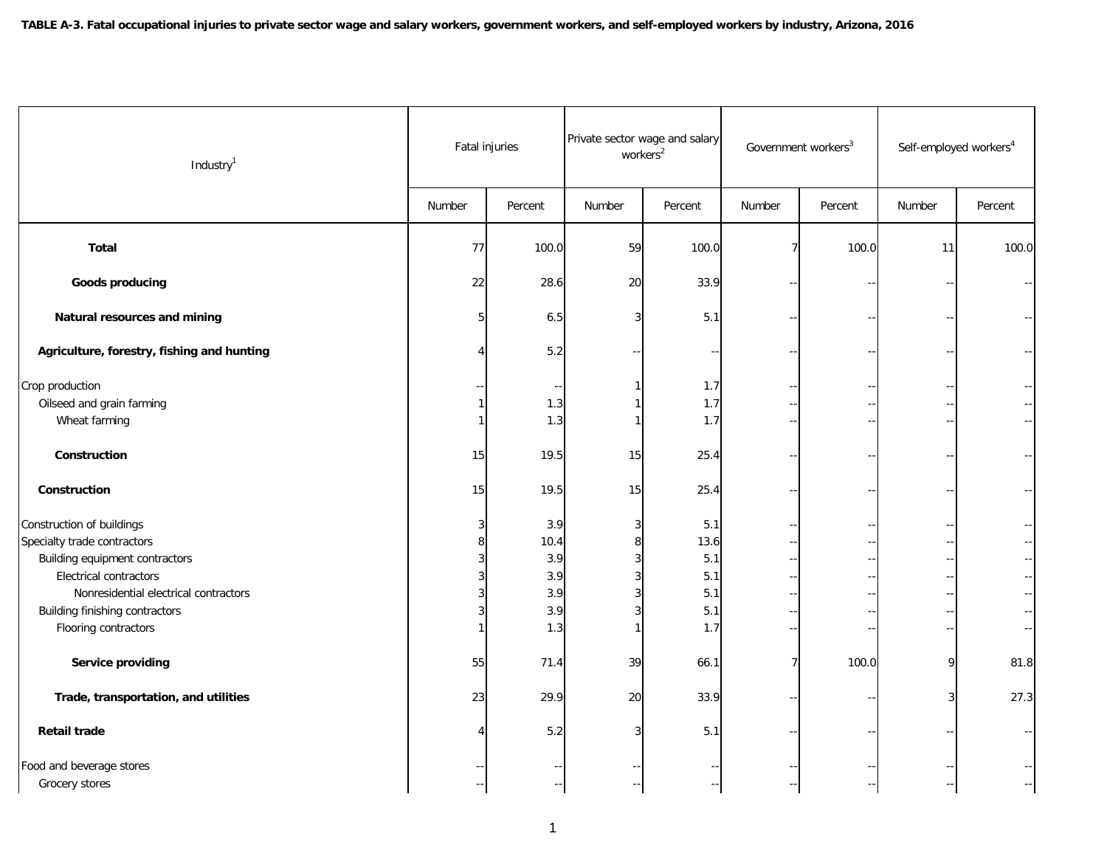| Industry <sup>1</sup>                      | Fatal injuries |         | Private sector wage and salary<br>workers <sup>2</sup> |         | Government workers <sup>3</sup> |         | Self-employed workers <sup>4</sup> |         |
|--------------------------------------------|----------------|---------|--------------------------------------------------------|---------|---------------------------------|---------|------------------------------------|---------|
|                                            | Number         | Percent | Number                                                 | Percent | Number                          | Percent | Number                             | Percent |
| <b>Total</b>                               | 77             | 100.0   | 59                                                     | 100.0   | 7                               | 100.0   | 11                                 | 100.0   |
| <b>Goods producing</b>                     | 22             | 28.6    | 20                                                     | 33.9    |                                 |         |                                    |         |
| Natural resources and mining               | 5              | 6.5     | 3                                                      | 5.1     |                                 |         |                                    |         |
| Agriculture, forestry, fishing and hunting |                | 5.2     |                                                        |         |                                 |         |                                    |         |
| Crop production                            |                |         |                                                        | 1.7     |                                 |         |                                    |         |
| Oilseed and grain farming                  |                | 1.3     |                                                        | 1.7     |                                 |         |                                    |         |
| Wheat farming                              |                | 1.3     |                                                        | 1.7     |                                 |         |                                    |         |
| Construction                               | 15             | 19.5    | 15                                                     | 25.4    |                                 |         |                                    |         |
| Construction                               | 15             | 19.5    | 15                                                     | 25.4    |                                 |         |                                    |         |
| Construction of buildings                  |                | 3.9     |                                                        | 5.1     |                                 |         |                                    |         |
| Specialty trade contractors                |                | 10.4    |                                                        | 13.6    |                                 |         |                                    |         |
| Building equipment contractors             |                | 3.9     |                                                        | 5.1     |                                 |         |                                    |         |
| <b>Electrical contractors</b>              |                | 3.9     |                                                        | 5.1     |                                 |         |                                    |         |
| Nonresidential electrical contractors      |                | 3.9     |                                                        | 5.1     |                                 |         |                                    |         |
| Building finishing contractors             |                | 3.9     |                                                        | 5.1     |                                 |         |                                    |         |
| Flooring contractors                       |                | 1.3     |                                                        | 1.7     |                                 |         |                                    |         |
| Service providing                          | 55             | 71.4    | 39                                                     | 66.1    |                                 | 100.0   | 9                                  | 81.8    |
| Trade, transportation, and utilities       | 23             | 29.9    | 20                                                     | 33.9    |                                 |         | 3                                  | 27.3    |
| <b>Retail trade</b>                        |                | 5.2     |                                                        | 5.1     |                                 |         |                                    |         |
| Food and beverage stores                   |                |         |                                                        |         |                                 |         |                                    |         |
| Grocery stores                             |                |         |                                                        |         |                                 |         |                                    |         |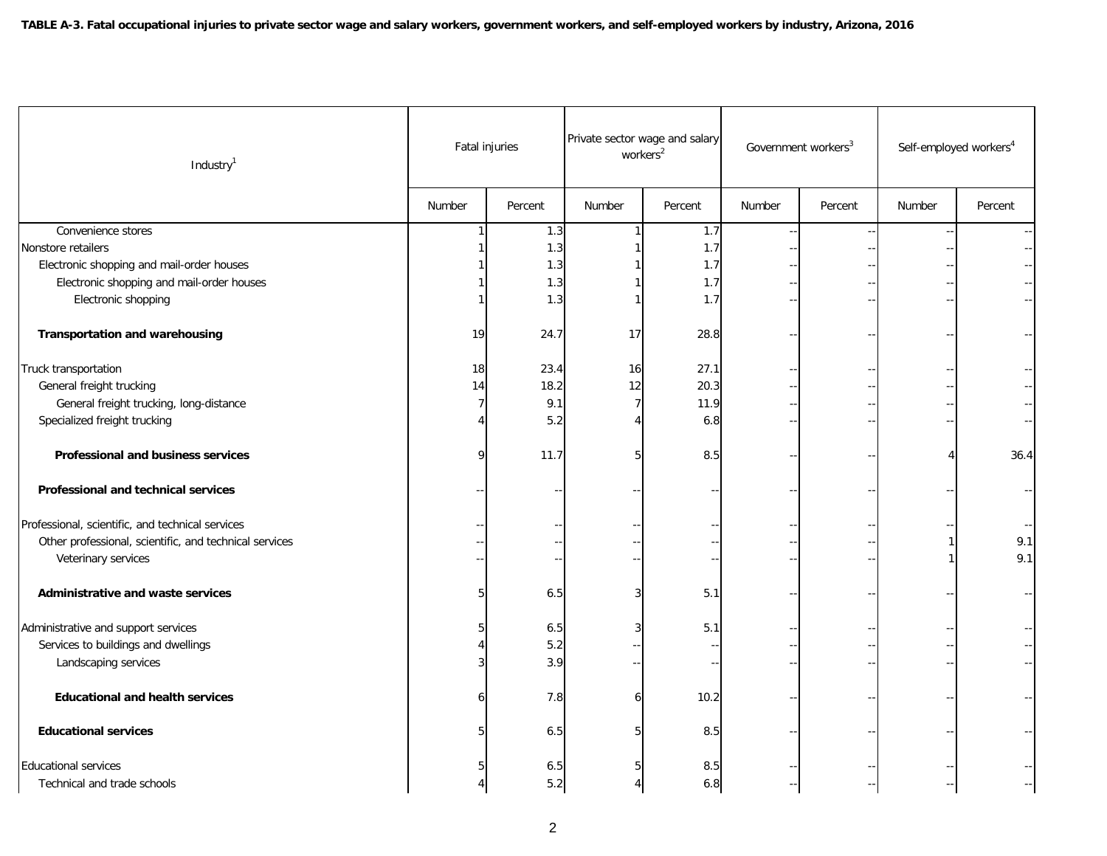| Industry <sup>1</sup>                                  |        | Fatal injuries |        | Private sector wage and salary<br>workers <sup>2</sup> |        | Government workers <sup>3</sup> | Self-employed workers <sup>4</sup> |         |
|--------------------------------------------------------|--------|----------------|--------|--------------------------------------------------------|--------|---------------------------------|------------------------------------|---------|
|                                                        | Number | Percent        | Number | Percent                                                | Number | Percent                         | Number                             | Percent |
| Convenience stores                                     |        | 1.3            |        | 1.7                                                    |        |                                 |                                    |         |
| Nonstore retailers                                     |        | 1.3            |        | 1.7                                                    |        |                                 |                                    |         |
| Electronic shopping and mail-order houses              |        | 1.3            |        | 1.7                                                    |        |                                 |                                    |         |
| Electronic shopping and mail-order houses              |        | 1.3            |        | 1.7                                                    |        |                                 |                                    |         |
| Electronic shopping                                    |        | 1.3            |        | 1.7                                                    |        |                                 |                                    |         |
| <b>Transportation and warehousing</b>                  | 19     | 24.7           | 17     | 28.8                                                   |        |                                 |                                    |         |
| Truck transportation                                   | 18     | 23.4           | 16     | 27.1                                                   |        |                                 |                                    |         |
| General freight trucking                               | 14     | 18.2           | 12     | 20.3                                                   |        |                                 |                                    |         |
| General freight trucking, long-distance                | 7      | 9.1            | 7      | 11.9                                                   |        |                                 |                                    |         |
| Specialized freight trucking                           |        | 5.2            |        | 6.8                                                    |        |                                 |                                    |         |
| Professional and business services                     | 9      | 11.7           | 5      | 8.5                                                    |        |                                 |                                    | 36.4    |
| Professional and technical services                    |        |                |        |                                                        |        |                                 |                                    |         |
| Professional, scientific, and technical services       |        |                |        |                                                        |        |                                 |                                    |         |
| Other professional, scientific, and technical services |        |                |        |                                                        |        |                                 |                                    | 9.1     |
| Veterinary services                                    |        |                |        |                                                        |        |                                 |                                    | 9.1     |
| Administrative and waste services                      |        | 6.5            | 3      | 5.1                                                    |        |                                 |                                    |         |
| Administrative and support services                    |        | $6.5$          |        | 5.1                                                    |        |                                 |                                    |         |
| Services to buildings and dwellings                    |        | 5.2            |        |                                                        |        |                                 |                                    |         |
| Landscaping services                                   |        | 3.9            |        |                                                        |        |                                 |                                    |         |
| <b>Educational and health services</b>                 | 6      | 7.8            | 6      | 10.2                                                   |        |                                 |                                    |         |
| <b>Educational services</b>                            |        | 6.5            |        | 8.5                                                    |        |                                 |                                    |         |
| <b>Educational services</b>                            |        | 6.5            |        | 8.5                                                    |        |                                 |                                    |         |
| Technical and trade schools                            |        | 5.2            |        | 6.8                                                    |        |                                 |                                    |         |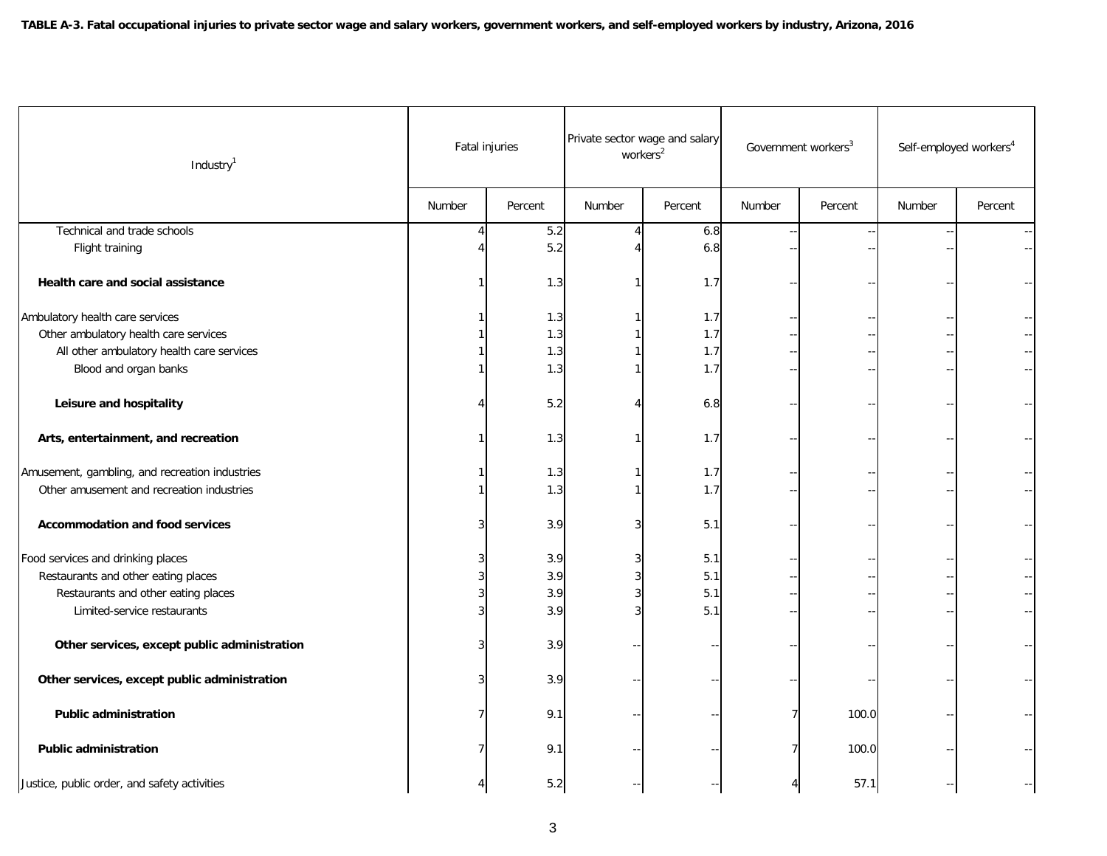| Industry <sup>1</sup>                          |        | Fatal injuries |        | Private sector wage and salary<br>workers <sup>2</sup> |        | Government workers <sup>3</sup> | Self-employed workers <sup>4</sup> |         |  |
|------------------------------------------------|--------|----------------|--------|--------------------------------------------------------|--------|---------------------------------|------------------------------------|---------|--|
|                                                | Number | Percent        | Number | Percent                                                | Number | Percent                         | Number                             | Percent |  |
| Technical and trade schools                    |        | 5.2            |        | 6.8                                                    |        |                                 |                                    |         |  |
| Flight training                                |        | 5.2            |        | 6.8                                                    |        |                                 |                                    |         |  |
| Health care and social assistance              |        | 1.3            |        | 1.7                                                    |        |                                 |                                    |         |  |
| Ambulatory health care services                |        | 1.3            |        | 1.7                                                    |        |                                 |                                    |         |  |
| Other ambulatory health care services          |        | 1.3            |        | 1.7                                                    |        |                                 |                                    |         |  |
| All other ambulatory health care services      |        | 1.3            |        | 1.7                                                    |        |                                 |                                    |         |  |
| Blood and organ banks                          |        | 1.3            |        | 1.7                                                    |        |                                 |                                    |         |  |
| Leisure and hospitality                        |        | 5.2            |        | 6.8                                                    |        |                                 |                                    |         |  |
| Arts, entertainment, and recreation            |        | 1.3            |        | 1.7                                                    |        |                                 |                                    |         |  |
| Amusement, gambling, and recreation industries |        | 1.3            |        | 1.7                                                    |        |                                 |                                    |         |  |
| Other amusement and recreation industries      |        | 1.3            |        | 1.7                                                    |        |                                 |                                    |         |  |
| <b>Accommodation and food services</b>         |        | 3.9            |        | 5.1                                                    |        |                                 |                                    |         |  |
| Food services and drinking places              |        | 3.9            |        | 5.1                                                    |        |                                 |                                    |         |  |
| Restaurants and other eating places            |        | 3.9            |        | 5.1                                                    |        |                                 |                                    |         |  |
| Restaurants and other eating places            |        | 3.9            |        | 5.1                                                    |        |                                 |                                    |         |  |
| Limited-service restaurants                    |        | 3.9            |        | 5.1                                                    |        |                                 |                                    |         |  |
| Other services, except public administration   |        | 3.9            |        |                                                        |        |                                 |                                    |         |  |
| Other services, except public administration   |        | 3.9            |        |                                                        |        |                                 |                                    |         |  |
| <b>Public administration</b>                   |        | 9.1            |        |                                                        |        | 100.0                           |                                    |         |  |
| <b>Public administration</b>                   |        | 9.1            |        |                                                        |        | 100.0                           |                                    |         |  |
| Justice, public order, and safety activities   |        | 5.2            |        |                                                        |        | 57.1                            |                                    |         |  |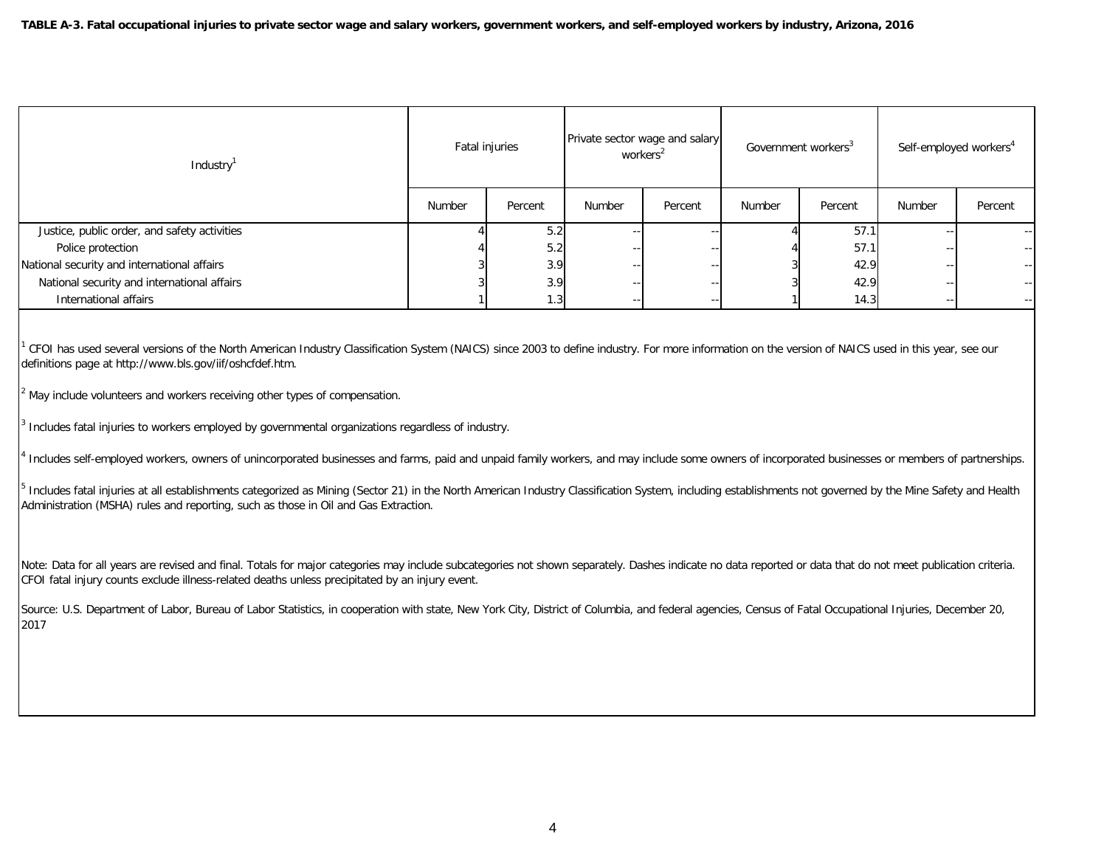| Industry <sup>1</sup>                        | Fatal injuries |         | Private sector wage and salary<br>workers <sup>2</sup> |         | Government workers <sup>3</sup> |         | Self-employed workers <sup>4</sup> |         |  |
|----------------------------------------------|----------------|---------|--------------------------------------------------------|---------|---------------------------------|---------|------------------------------------|---------|--|
|                                              | Number         | Percent | Number                                                 | Percent | Number                          | Percent | Number                             | Percent |  |
| Justice, public order, and safety activities |                | 5.2     |                                                        |         |                                 | 57.1    | $ -$                               | $- -$   |  |
| Police protection                            |                | 5.2     | $- -$                                                  |         |                                 | 57.1    | $ -$                               | $- -$   |  |
| National security and international affairs  |                | 3.9     | --                                                     |         |                                 | 42.9    | $- -$                              | $- -$   |  |
| National security and international affairs  |                | 3.9     | $- -$                                                  |         |                                 | 42.9    | $- -$                              |         |  |
| International affairs                        |                | 1.3     | $- -$                                                  |         |                                 | 14.3    | $ -$                               | $- -$   |  |

<sup>1</sup> CFOI has used several versions of the North American Industry Classification System (NAICS) since 2003 to define industry. For more information on the version of NAICS used in this year, see our definitions page at http://www.bls.gov/iif/oshcfdef.htm.

 $2$  May include volunteers and workers receiving other types of compensation.

3 Includes fatal injuries to workers employed by governmental organizations regardless of industry.

4 Includes self-employed workers, owners of unincorporated businesses and farms, paid and unpaid family workers, and may include some owners of incorporated businesses or members of partnerships.

<sup>5</sup> Includes fatal injuries at all establishments categorized as Mining (Sector 21) in the North American Industry Classification System, including establishments not governed by the Mine Safety and Health Administration (MSHA) rules and reporting, such as those in Oil and Gas Extraction.

Note: Data for all years are revised and final. Totals for major categories may include subcategories not shown separately. Dashes indicate no data reported or data that do not meet publication criteria. CFOI fatal injury counts exclude illness-related deaths unless precipitated by an injury event.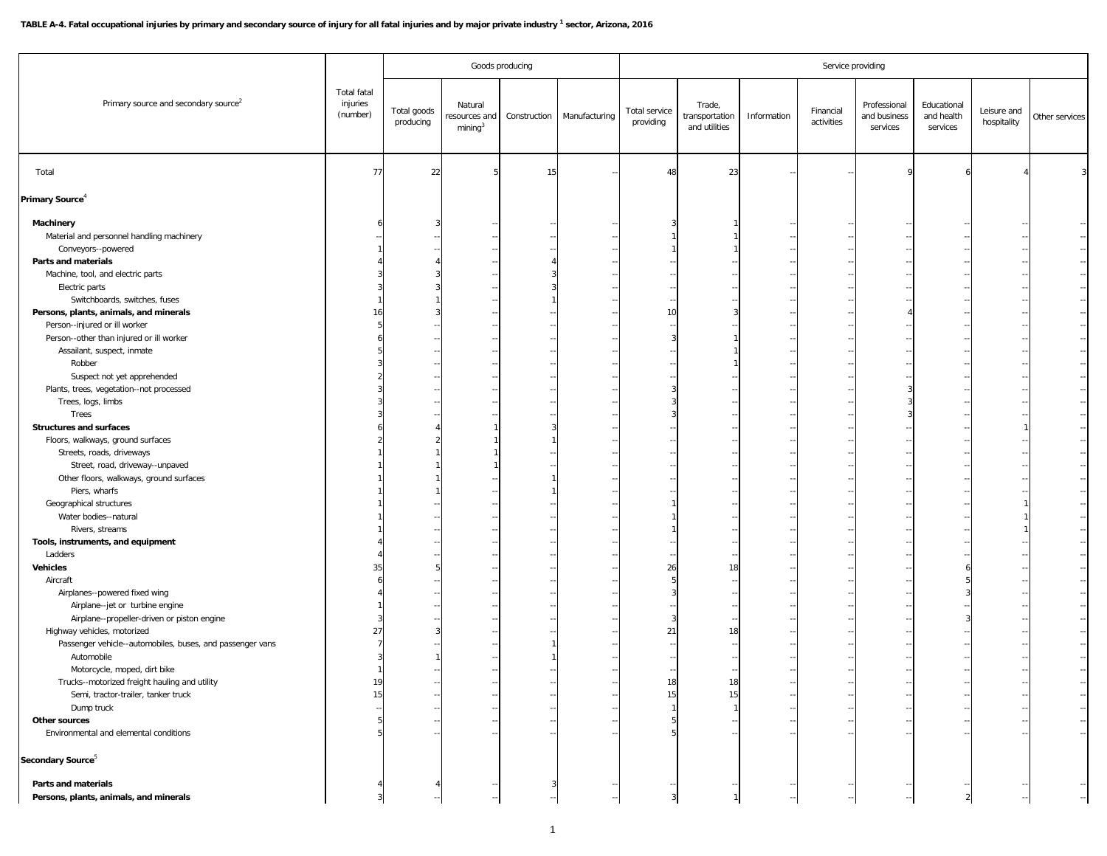## TABLE A-4. Fatal occupational injuries by primary and secondary source of injury for all fatal injuries and by major private industry <sup>1</sup> sector, Arizona, 2016

|                                                           |                                            |                          |                                                | Goods producing |               | Service providing          |                                           |                          |                         |                                          |                                       |                            |                      |
|-----------------------------------------------------------|--------------------------------------------|--------------------------|------------------------------------------------|-----------------|---------------|----------------------------|-------------------------------------------|--------------------------|-------------------------|------------------------------------------|---------------------------------------|----------------------------|----------------------|
| Primary source and secondary source <sup>2</sup>          | <b>Total fatal</b><br>injuries<br>(number) | Total goods<br>producing | Natural<br>esources and<br>mining <sup>3</sup> | Construction    | Manufacturing | Total service<br>providing | Trade,<br>transportation<br>and utilities | Information              | Financial<br>activities | Professional<br>and business<br>services | Educational<br>and health<br>services | Leisure and<br>hospitality | Other services       |
| Total                                                     | 77                                         | 22                       |                                                | 15              |               | 48                         | 23                                        |                          |                         |                                          |                                       |                            |                      |
| Primary Source <sup>4</sup>                               |                                            |                          |                                                |                 |               |                            |                                           |                          |                         |                                          |                                       |                            |                      |
| Machinery                                                 |                                            |                          |                                                |                 |               |                            |                                           |                          |                         |                                          |                                       |                            |                      |
| Material and personnel handling machinery                 |                                            |                          |                                                |                 |               |                            |                                           |                          |                         |                                          |                                       |                            |                      |
| Conveyors--powered                                        |                                            |                          |                                                |                 |               |                            |                                           |                          |                         |                                          |                                       |                            |                      |
| Parts and materials                                       |                                            |                          |                                                |                 |               |                            |                                           |                          |                         |                                          |                                       |                            |                      |
| Machine, tool, and electric parts                         |                                            |                          |                                                |                 |               |                            |                                           |                          |                         |                                          |                                       |                            |                      |
| Electric parts                                            |                                            |                          |                                                |                 |               |                            |                                           |                          |                         |                                          |                                       |                            |                      |
| Switchboards, switches, fuses                             |                                            |                          |                                                |                 |               |                            |                                           |                          |                         |                                          |                                       |                            |                      |
| Persons, plants, animals, and minerals                    | 16                                         |                          |                                                |                 |               | 10                         |                                           |                          |                         |                                          |                                       |                            |                      |
| Person--injured or ill worker                             |                                            |                          |                                                |                 |               |                            |                                           |                          |                         |                                          |                                       |                            |                      |
| Person--other than injured or ill worker                  |                                            |                          |                                                |                 |               |                            |                                           |                          |                         |                                          |                                       |                            |                      |
| Assailant, suspect, inmate                                |                                            |                          |                                                |                 |               |                            |                                           |                          |                         |                                          |                                       |                            |                      |
|                                                           |                                            |                          |                                                |                 |               |                            |                                           |                          |                         |                                          |                                       |                            |                      |
| Robber                                                    |                                            |                          |                                                |                 |               |                            |                                           |                          |                         |                                          |                                       |                            |                      |
| Suspect not yet apprehended                               |                                            |                          |                                                |                 |               |                            |                                           |                          |                         |                                          |                                       |                            |                      |
| Plants, trees, vegetation--not processed                  |                                            |                          |                                                |                 |               |                            |                                           |                          |                         |                                          |                                       |                            |                      |
| Trees, logs, limbs                                        |                                            |                          |                                                |                 |               |                            |                                           |                          |                         |                                          |                                       |                            |                      |
| Trees                                                     |                                            |                          |                                                |                 |               |                            |                                           |                          |                         |                                          |                                       |                            |                      |
| <b>Structures and surfaces</b>                            |                                            |                          |                                                |                 |               |                            |                                           |                          |                         |                                          |                                       |                            |                      |
| Floors, walkways, ground surfaces                         |                                            |                          |                                                |                 |               |                            |                                           |                          |                         |                                          |                                       |                            |                      |
| Streets, roads, driveways                                 |                                            |                          |                                                |                 |               |                            |                                           |                          |                         |                                          |                                       |                            |                      |
| Street, road, driveway--unpaved                           |                                            |                          |                                                |                 |               |                            |                                           |                          |                         |                                          |                                       |                            |                      |
| Other floors, walkways, ground surfaces                   |                                            |                          |                                                |                 |               |                            |                                           |                          |                         |                                          |                                       |                            |                      |
| Piers, wharfs                                             |                                            |                          |                                                |                 |               |                            |                                           |                          |                         |                                          |                                       |                            |                      |
| Geographical structures                                   |                                            |                          |                                                |                 |               |                            |                                           |                          |                         |                                          |                                       |                            |                      |
| Water bodies--natural                                     |                                            |                          |                                                |                 |               |                            |                                           |                          |                         |                                          |                                       |                            |                      |
| Rivers, streams                                           |                                            |                          |                                                |                 |               |                            |                                           |                          |                         |                                          |                                       |                            |                      |
| Tools, instruments, and equipment                         |                                            |                          |                                                |                 |               |                            |                                           |                          |                         |                                          |                                       |                            |                      |
| Ladders                                                   |                                            |                          |                                                |                 |               |                            |                                           |                          |                         |                                          |                                       |                            |                      |
| <b>Vehicles</b>                                           | 35                                         |                          |                                                |                 |               | 26                         | 18                                        |                          |                         |                                          |                                       |                            |                      |
| Aircraft                                                  |                                            |                          |                                                |                 |               |                            |                                           |                          |                         |                                          |                                       |                            |                      |
| Airplanes--powered fixed wing                             |                                            |                          |                                                |                 |               |                            |                                           |                          |                         |                                          |                                       |                            |                      |
| Airplane--jet or turbine engine                           |                                            |                          |                                                |                 |               |                            |                                           |                          |                         |                                          |                                       |                            |                      |
| Airplane--propeller-driven or piston engine               |                                            |                          |                                                |                 |               |                            |                                           |                          |                         |                                          |                                       |                            |                      |
| Highway vehicles, motorized                               | 27                                         |                          |                                                |                 |               | 21                         | 18                                        |                          |                         |                                          |                                       |                            |                      |
| Passenger vehicle--automobiles, buses, and passenger vans |                                            |                          |                                                |                 |               |                            |                                           |                          |                         |                                          |                                       |                            |                      |
| Automobile                                                |                                            |                          |                                                |                 |               |                            |                                           |                          |                         |                                          |                                       |                            |                      |
| Motorcycle, moped, dirt bike                              |                                            |                          |                                                |                 |               |                            |                                           |                          |                         |                                          |                                       |                            |                      |
| Trucks--motorized freight hauling and utility             | 19                                         |                          |                                                |                 |               | 18                         | 18                                        |                          |                         |                                          |                                       |                            |                      |
| Semi, tractor-trailer, tanker truck                       | 15                                         |                          |                                                |                 |               | 15                         | 15                                        |                          |                         |                                          |                                       |                            |                      |
| Dump truck                                                |                                            |                          |                                                |                 |               |                            |                                           | $\overline{\phantom{a}}$ |                         |                                          |                                       |                            | $\frac{1}{2}$        |
| Other sources                                             |                                            |                          |                                                |                 |               |                            |                                           | $\sim$                   |                         |                                          |                                       |                            |                      |
|                                                           |                                            |                          |                                                |                 |               |                            |                                           |                          |                         |                                          |                                       |                            |                      |
| Environmental and elemental conditions                    |                                            |                          |                                                |                 |               |                            |                                           |                          |                         |                                          |                                       |                            | $\sim$               |
| Secondary Source <sup>5</sup>                             |                                            |                          |                                                |                 |               |                            |                                           |                          |                         |                                          |                                       |                            |                      |
| Parts and materials                                       |                                            |                          |                                                |                 |               |                            |                                           |                          |                         |                                          |                                       |                            |                      |
| Persons, plants, animals, and minerals                    |                                            |                          |                                                |                 |               |                            |                                           |                          |                         |                                          |                                       |                            | $\ddot{\phantom{a}}$ |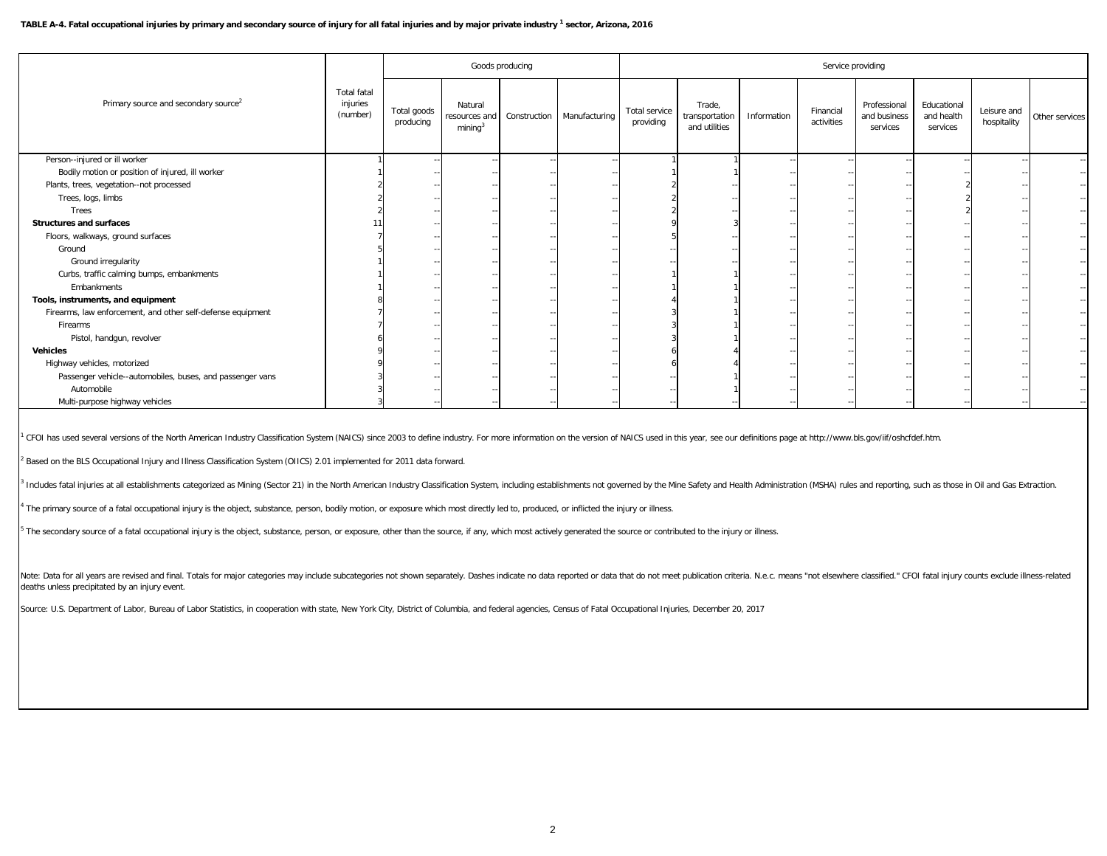## TABLE A-4. Fatal occupational injuries by primary and secondary source of injury for all fatal injuries and by major private industry <sup>1</sup> sector, Arizona, 2016

|                                                             |                                            |                          | Goods producing<br>Service providing            |              |               |                            |                                           |             |                         |                                          |                                       |                            |                |  |
|-------------------------------------------------------------|--------------------------------------------|--------------------------|-------------------------------------------------|--------------|---------------|----------------------------|-------------------------------------------|-------------|-------------------------|------------------------------------------|---------------------------------------|----------------------------|----------------|--|
| Primary source and secondary source <sup>2</sup>            | <b>Total fatal</b><br>injuries<br>(number) | Total goods<br>producing | Natural<br>resources and<br>mining <sup>3</sup> | Construction | Manufacturing | Total service<br>providing | Trade,<br>transportation<br>and utilities | Information | Financial<br>activities | Professional<br>and business<br>services | Educational<br>and health<br>services | Leisure and<br>hospitality | Other services |  |
| Person--injured or ill worker                               |                                            |                          |                                                 |              |               |                            |                                           | $ -$        |                         |                                          |                                       |                            | $\sim$ $-$     |  |
| Bodily motion or position of injured, ill worker            |                                            |                          |                                                 |              |               |                            |                                           |             |                         |                                          |                                       |                            |                |  |
| Plants, trees, vegetation--not processed                    |                                            |                          |                                                 |              |               |                            |                                           |             |                         |                                          |                                       |                            |                |  |
| Trees, logs, limbs                                          |                                            |                          |                                                 |              |               |                            |                                           |             |                         |                                          |                                       |                            |                |  |
| Trees                                                       |                                            |                          |                                                 |              |               |                            |                                           |             |                         |                                          |                                       |                            |                |  |
| <b>Structures and surfaces</b>                              |                                            |                          |                                                 |              |               |                            |                                           |             |                         |                                          |                                       |                            |                |  |
| Floors, walkways, ground surfaces                           |                                            |                          |                                                 |              |               |                            |                                           |             |                         |                                          |                                       |                            |                |  |
| Ground                                                      |                                            |                          |                                                 |              |               |                            |                                           |             |                         |                                          |                                       |                            |                |  |
| Ground irregularity                                         |                                            |                          |                                                 |              |               |                            |                                           |             |                         |                                          |                                       |                            |                |  |
| Curbs, traffic calming bumps, embankments                   |                                            |                          |                                                 |              |               |                            |                                           |             |                         |                                          |                                       |                            |                |  |
| Embankments                                                 |                                            |                          |                                                 |              |               |                            |                                           |             |                         |                                          |                                       |                            |                |  |
| Tools, instruments, and equipment                           |                                            |                          |                                                 |              |               |                            |                                           |             |                         |                                          |                                       |                            |                |  |
| Firearms, law enforcement, and other self-defense equipment |                                            |                          |                                                 |              |               |                            |                                           |             |                         |                                          |                                       |                            |                |  |
| Firearms                                                    |                                            |                          |                                                 |              |               |                            |                                           |             |                         |                                          |                                       |                            |                |  |
| Pistol, handgun, revolver                                   |                                            |                          |                                                 |              |               |                            |                                           |             |                         |                                          |                                       |                            |                |  |
| <b>Vehicles</b>                                             |                                            |                          |                                                 |              |               |                            |                                           |             |                         |                                          |                                       |                            |                |  |
| Highway vehicles, motorized                                 |                                            |                          |                                                 |              |               |                            |                                           |             |                         |                                          |                                       |                            |                |  |
| Passenger vehicle--automobiles, buses, and passenger vans   |                                            |                          |                                                 |              |               |                            |                                           |             |                         |                                          |                                       |                            |                |  |
| Automobile                                                  |                                            |                          |                                                 |              |               |                            |                                           |             |                         |                                          |                                       |                            |                |  |
| Multi-purpose highway vehicles                              |                                            |                          |                                                 |              |               |                            |                                           |             |                         |                                          |                                       |                            |                |  |

<sup>1</sup> CFOI has used several versions of the North American Industry Classification System (NAICS) since 2003 to define industry. For more information on the version of NAICS used in this year, see our definitions page at htt

<sup>2</sup> Based on the BLS Occupational Injury and Illness Classification System (OIICS) 2.01 implemented for 2011 data forward.

3 Includes fatal injuries at all establishments categorized as Mining (Sector 21) in the North American Industry Classification System, including establishments not governed by the Mine Safety and Health Administration (MS

<sup>4</sup> The primary source of a fatal occupational injury is the object, substance, person, bodily motion, or exposure which most directly led to, produced, or inflicted the injury or illness.

<sup>5</sup> The secondary source of a fatal occupational injury is the object, substance, person, or exposure, other than the source, if any, which most actively generated the source or contributed to the injury or illness.

Note: Data for all years are revised and final. Totals for major categories may include subcategories mot shown separately. Dashes indicate no data reported or data that do not meet publication criteria. N.e.c. means "not deaths unless precipitated by an injury event.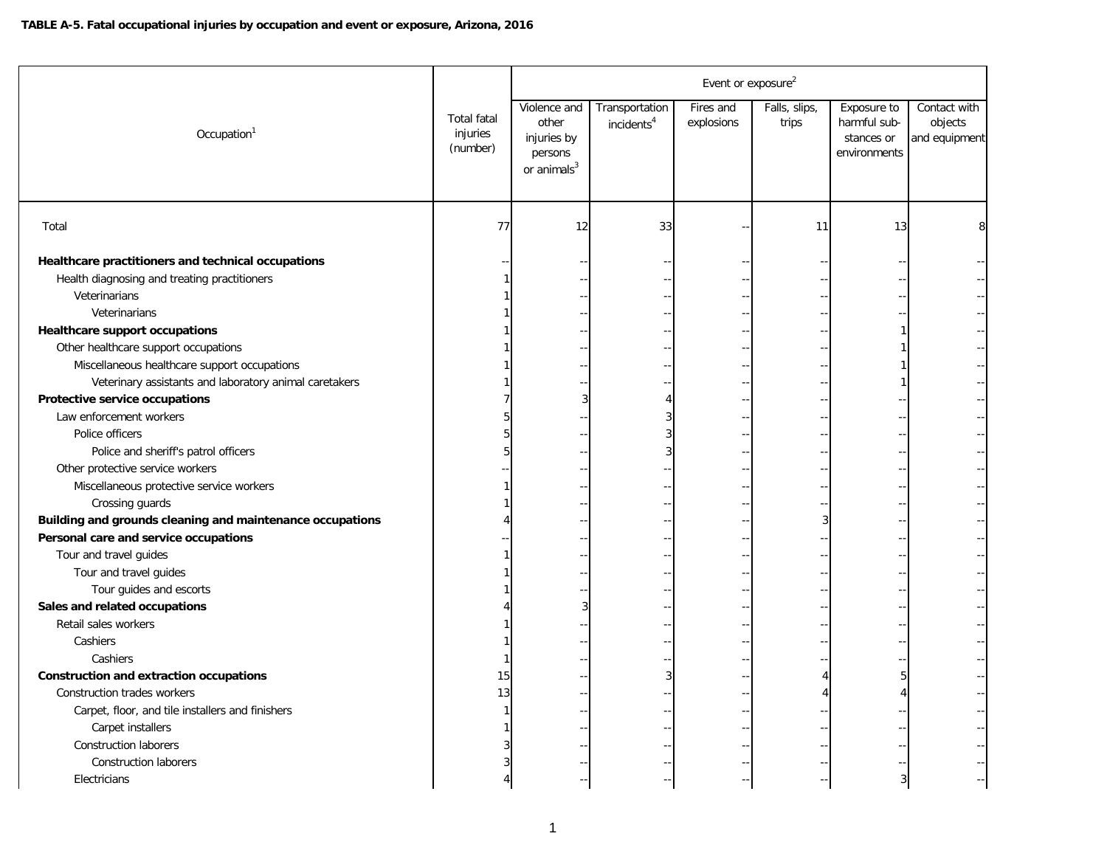|                                                           |                                            |                                                                            |                                          | Event or exposure <sup>2</sup> |                        |                                                           |                                          |
|-----------------------------------------------------------|--------------------------------------------|----------------------------------------------------------------------------|------------------------------------------|--------------------------------|------------------------|-----------------------------------------------------------|------------------------------------------|
| Occupation <sup>1</sup>                                   | <b>Total fatal</b><br>injuries<br>(number) | Violence and<br>other<br>injuries by<br>persons<br>or animals <sup>3</sup> | Transportation<br>incidents <sup>4</sup> | Fires and<br>explosions        | Falls, slips,<br>trips | Exposure to<br>harmful sub-<br>stances or<br>environments | Contact with<br>objects<br>and equipment |
| Total                                                     | 77                                         | 12                                                                         | 33                                       |                                | 11                     | 13                                                        | 8                                        |
| Healthcare practitioners and technical occupations        |                                            |                                                                            |                                          |                                |                        |                                                           |                                          |
| Health diagnosing and treating practitioners              |                                            |                                                                            |                                          |                                |                        |                                                           |                                          |
| Veterinarians                                             |                                            |                                                                            |                                          |                                |                        |                                                           |                                          |
| Veterinarians                                             |                                            |                                                                            |                                          |                                |                        |                                                           |                                          |
| <b>Healthcare support occupations</b>                     |                                            |                                                                            |                                          |                                |                        |                                                           |                                          |
| Other healthcare support occupations                      |                                            |                                                                            |                                          |                                |                        |                                                           |                                          |
| Miscellaneous healthcare support occupations              |                                            |                                                                            |                                          |                                |                        |                                                           |                                          |
| Veterinary assistants and laboratory animal caretakers    |                                            |                                                                            |                                          |                                |                        |                                                           |                                          |
| Protective service occupations                            |                                            |                                                                            | 4                                        |                                |                        |                                                           |                                          |
| Law enforcement workers                                   |                                            |                                                                            | 3                                        |                                |                        |                                                           |                                          |
| Police officers                                           |                                            |                                                                            | 3                                        |                                |                        |                                                           |                                          |
| Police and sheriff's patrol officers                      |                                            |                                                                            | 3                                        |                                |                        |                                                           |                                          |
| Other protective service workers                          |                                            |                                                                            |                                          |                                |                        |                                                           |                                          |
| Miscellaneous protective service workers                  |                                            |                                                                            |                                          |                                |                        |                                                           |                                          |
| Crossing guards                                           |                                            |                                                                            |                                          |                                |                        |                                                           |                                          |
| Building and grounds cleaning and maintenance occupations |                                            |                                                                            |                                          |                                | 3                      |                                                           |                                          |
| Personal care and service occupations                     |                                            |                                                                            |                                          |                                |                        |                                                           |                                          |
| Tour and travel guides                                    |                                            |                                                                            |                                          |                                |                        |                                                           |                                          |
| Tour and travel guides                                    |                                            |                                                                            |                                          |                                |                        |                                                           |                                          |
| Tour guides and escorts                                   |                                            |                                                                            |                                          |                                |                        |                                                           |                                          |
| Sales and related occupations                             |                                            | 3                                                                          |                                          |                                |                        |                                                           |                                          |
| Retail sales workers                                      |                                            |                                                                            |                                          |                                |                        |                                                           |                                          |
| Cashiers                                                  |                                            |                                                                            |                                          |                                |                        |                                                           |                                          |
| Cashiers                                                  |                                            |                                                                            |                                          |                                |                        |                                                           |                                          |
| <b>Construction and extraction occupations</b>            | 15                                         |                                                                            | 3                                        |                                | 4                      | 5                                                         |                                          |
| Construction trades workers                               | 13                                         |                                                                            |                                          |                                | 4                      | $\Delta$                                                  |                                          |
| Carpet, floor, and tile installers and finishers          |                                            |                                                                            |                                          |                                |                        |                                                           |                                          |
| Carpet installers                                         |                                            |                                                                            |                                          |                                |                        |                                                           |                                          |
| Construction laborers                                     |                                            |                                                                            |                                          |                                |                        |                                                           |                                          |
| <b>Construction laborers</b>                              |                                            |                                                                            |                                          |                                |                        |                                                           |                                          |
| Electricians                                              |                                            |                                                                            |                                          |                                |                        | 3                                                         |                                          |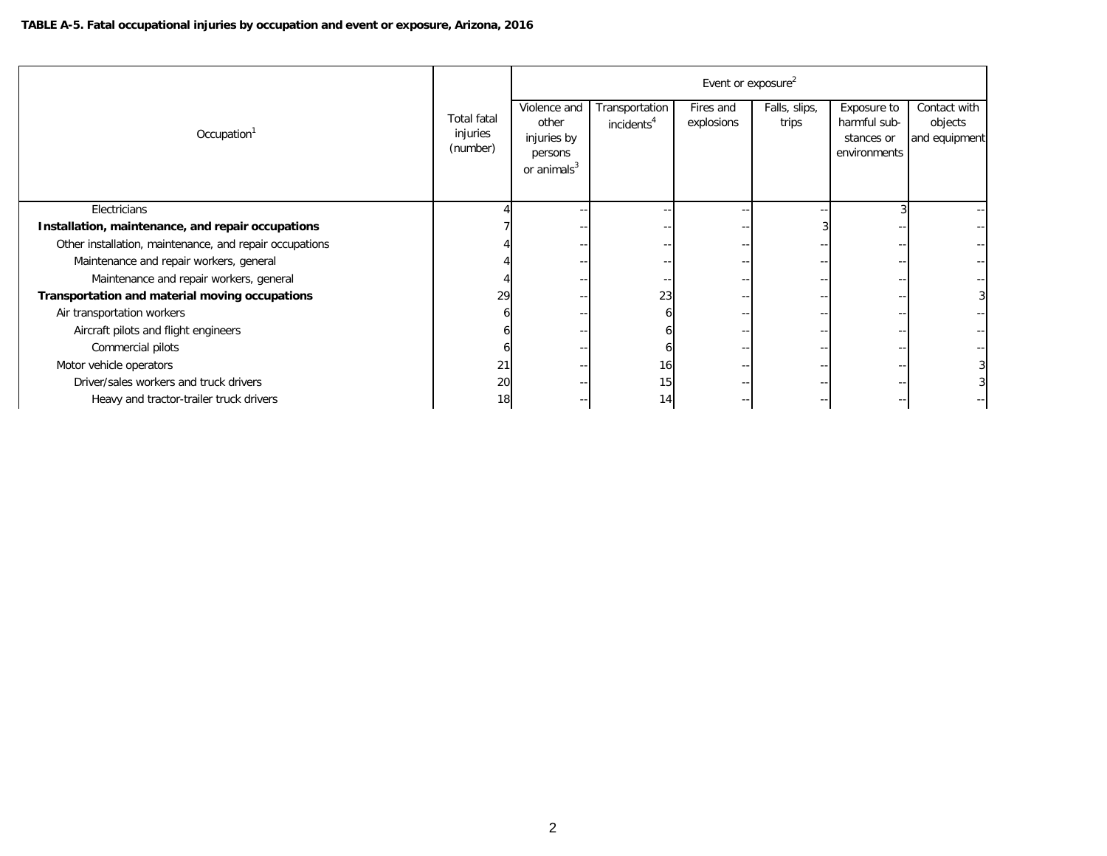|                                                         |                                            | Event or exposure <sup>2</sup>                                             |                                          |                         |                        |                                                           |                                          |  |  |  |  |
|---------------------------------------------------------|--------------------------------------------|----------------------------------------------------------------------------|------------------------------------------|-------------------------|------------------------|-----------------------------------------------------------|------------------------------------------|--|--|--|--|
| Occupation <sup>1</sup>                                 | <b>Total fatal</b><br>injuries<br>(number) | Violence and<br>other<br>injuries by<br>persons<br>or animals <sup>3</sup> | Transportation<br>incidents <sup>4</sup> | Fires and<br>explosions | Falls, slips,<br>trips | Exposure to<br>harmful sub-<br>stances or<br>environments | Contact with<br>objects<br>and equipment |  |  |  |  |
| Electricians                                            |                                            |                                                                            |                                          |                         |                        |                                                           |                                          |  |  |  |  |
| Installation, maintenance, and repair occupations       |                                            |                                                                            |                                          |                         |                        |                                                           |                                          |  |  |  |  |
| Other installation, maintenance, and repair occupations |                                            |                                                                            |                                          |                         |                        |                                                           |                                          |  |  |  |  |
| Maintenance and repair workers, general                 |                                            |                                                                            |                                          |                         |                        |                                                           |                                          |  |  |  |  |
| Maintenance and repair workers, general                 |                                            |                                                                            |                                          |                         |                        |                                                           |                                          |  |  |  |  |
| Transportation and material moving occupations          | 29                                         |                                                                            | 23                                       |                         |                        |                                                           |                                          |  |  |  |  |
| Air transportation workers                              |                                            |                                                                            |                                          |                         |                        |                                                           |                                          |  |  |  |  |
| Aircraft pilots and flight engineers                    |                                            |                                                                            |                                          |                         |                        |                                                           |                                          |  |  |  |  |
| Commercial pilots                                       |                                            |                                                                            |                                          |                         |                        |                                                           |                                          |  |  |  |  |
| Motor vehicle operators                                 | 21                                         |                                                                            | 16                                       |                         |                        |                                                           |                                          |  |  |  |  |
| Driver/sales workers and truck drivers                  | 20                                         |                                                                            | 15                                       |                         |                        |                                                           |                                          |  |  |  |  |
| Heavy and tractor-trailer truck drivers                 | 18                                         |                                                                            | 14                                       |                         |                        |                                                           |                                          |  |  |  |  |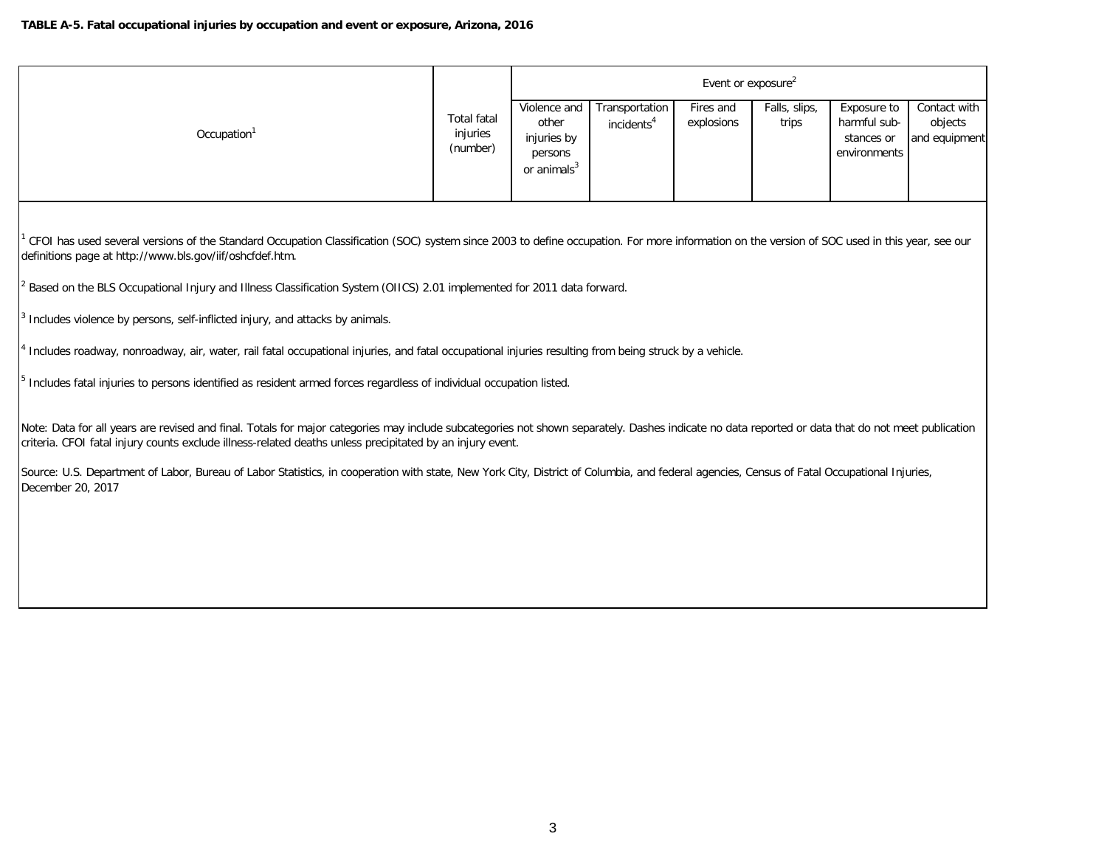|                         |                                            |                                                                            |                                            | Event or exposure <sup>2</sup> |                        |                                                           |                                          |
|-------------------------|--------------------------------------------|----------------------------------------------------------------------------|--------------------------------------------|--------------------------------|------------------------|-----------------------------------------------------------|------------------------------------------|
| Occupation <sup>1</sup> | <b>Total fatal</b><br>injuries<br>(number) | Violence and<br>other<br>injuries by<br>persons<br>or animals <sup>3</sup> | Transportation  <br>incidents <sup>4</sup> | Fires and<br>explosions        | Falls, slips,<br>trips | Exposure to<br>harmful sub-<br>stances or<br>environments | Contact with<br>objects<br>and equipment |

<sup>1</sup> CFOI has used several versions of the Standard Occupation Classification (SOC) system since 2003 to define occupation. For more information on the version of SOC used in this year, see our definitions page at http://www.bls.gov/iif/oshcfdef.htm.

2 Based on the BLS Occupational Injury and Illness Classification System (OIICS) 2.01 implemented for 2011 data forward.

3 Includes violence by persons, self-inflicted injury, and attacks by animals.

<sup>4</sup> Includes roadway, nonroadway, air, water, rail fatal occupational injuries, and fatal occupational injuries resulting from being struck by a vehicle.

<sup>5</sup> Includes fatal injuries to persons identified as resident armed forces regardless of individual occupation listed.

Note: Data for all years are revised and final. Totals for major categories may include subcategories not shown separately. Dashes indicate no data reported or data that do not meet publication criteria. CFOI fatal injury counts exclude illness-related deaths unless precipitated by an injury event.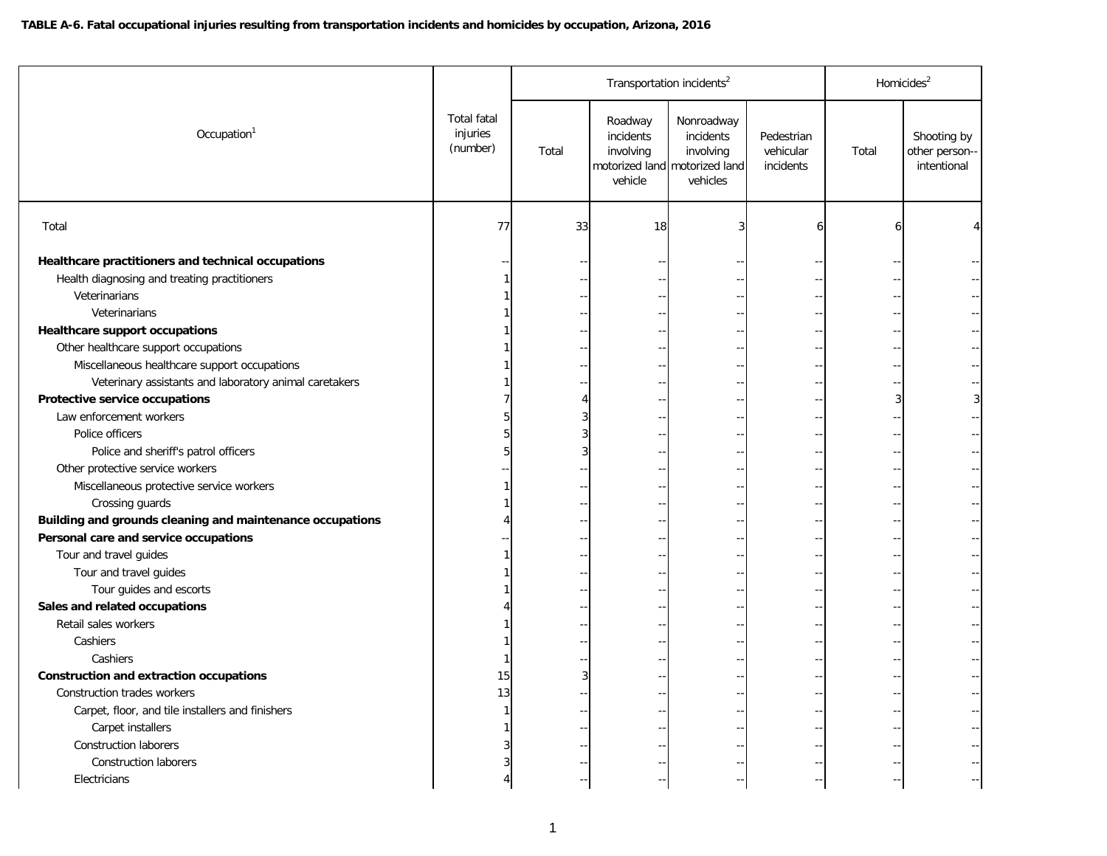|                                                           |                                            |       | Transportation incidents <sup>2</sup>        |                                                                                   |                                      | Homicides <sup>2</sup> |                                             |  |
|-----------------------------------------------------------|--------------------------------------------|-------|----------------------------------------------|-----------------------------------------------------------------------------------|--------------------------------------|------------------------|---------------------------------------------|--|
| Occupation <sup>1</sup>                                   | <b>Total fatal</b><br>injuries<br>(number) | Total | Roadway<br>incidents<br>involving<br>vehicle | Nonroadway<br>incidents<br>involving<br>motorized land motorized land<br>vehicles | Pedestrian<br>vehicular<br>incidents | Total                  | Shooting by<br>other person-<br>intentional |  |
| Total                                                     | 77                                         | 33    | 18                                           | 3                                                                                 | 6                                    | 6                      |                                             |  |
| Healthcare practitioners and technical occupations        |                                            |       |                                              |                                                                                   |                                      |                        |                                             |  |
| Health diagnosing and treating practitioners              |                                            |       |                                              |                                                                                   |                                      |                        |                                             |  |
| Veterinarians                                             |                                            |       |                                              |                                                                                   |                                      |                        |                                             |  |
| Veterinarians                                             |                                            |       |                                              |                                                                                   |                                      |                        |                                             |  |
| <b>Healthcare support occupations</b>                     |                                            |       |                                              |                                                                                   |                                      |                        |                                             |  |
| Other healthcare support occupations                      |                                            |       |                                              |                                                                                   |                                      |                        |                                             |  |
| Miscellaneous healthcare support occupations              |                                            |       |                                              |                                                                                   |                                      |                        |                                             |  |
| Veterinary assistants and laboratory animal caretakers    |                                            |       |                                              |                                                                                   |                                      |                        |                                             |  |
| Protective service occupations                            |                                            |       |                                              |                                                                                   |                                      |                        | 3                                           |  |
| Law enforcement workers                                   |                                            |       |                                              |                                                                                   |                                      |                        |                                             |  |
| Police officers                                           |                                            |       |                                              |                                                                                   |                                      |                        |                                             |  |
| Police and sheriff's patrol officers                      |                                            |       |                                              |                                                                                   |                                      |                        |                                             |  |
| Other protective service workers                          |                                            |       |                                              |                                                                                   |                                      |                        |                                             |  |
| Miscellaneous protective service workers                  |                                            |       |                                              |                                                                                   |                                      |                        |                                             |  |
| Crossing guards                                           |                                            |       |                                              |                                                                                   |                                      |                        |                                             |  |
| Building and grounds cleaning and maintenance occupations |                                            |       |                                              |                                                                                   |                                      |                        |                                             |  |
| Personal care and service occupations                     |                                            |       |                                              |                                                                                   |                                      |                        |                                             |  |
| Tour and travel guides                                    |                                            |       |                                              |                                                                                   |                                      |                        |                                             |  |
| Tour and travel guides                                    |                                            |       |                                              |                                                                                   |                                      |                        |                                             |  |
| Tour guides and escorts                                   |                                            |       |                                              |                                                                                   |                                      |                        |                                             |  |
| Sales and related occupations                             |                                            |       |                                              |                                                                                   |                                      |                        |                                             |  |
| Retail sales workers                                      |                                            |       |                                              |                                                                                   |                                      |                        |                                             |  |
| Cashiers                                                  |                                            |       |                                              |                                                                                   |                                      |                        |                                             |  |
| Cashiers                                                  |                                            |       |                                              |                                                                                   |                                      |                        |                                             |  |
| <b>Construction and extraction occupations</b>            | 15                                         | 3     |                                              |                                                                                   |                                      |                        |                                             |  |
| Construction trades workers                               | 13                                         |       |                                              |                                                                                   |                                      |                        |                                             |  |
| Carpet, floor, and tile installers and finishers          |                                            |       |                                              |                                                                                   |                                      |                        |                                             |  |
| Carpet installers                                         |                                            |       |                                              |                                                                                   |                                      |                        |                                             |  |
| <b>Construction laborers</b>                              |                                            |       |                                              |                                                                                   |                                      |                        |                                             |  |
| <b>Construction laborers</b>                              |                                            |       |                                              |                                                                                   |                                      |                        |                                             |  |
| Electricians                                              |                                            |       |                                              |                                                                                   |                                      |                        |                                             |  |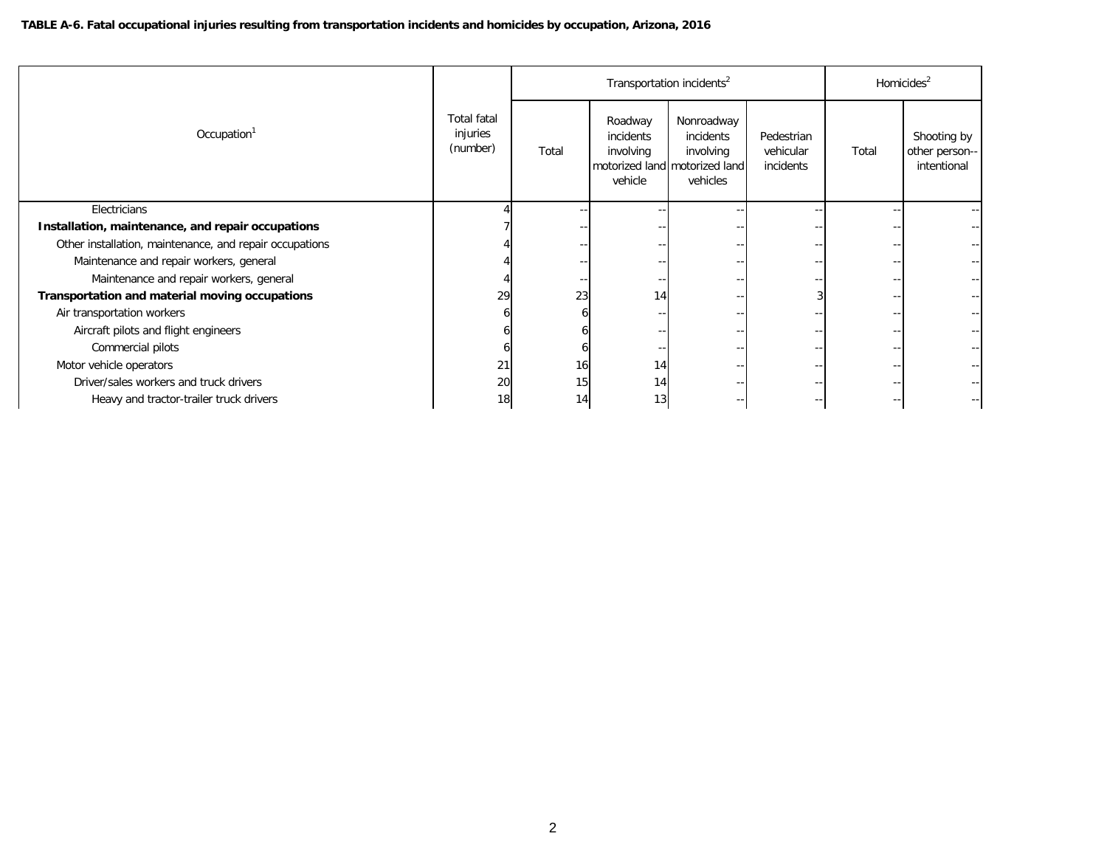|                                                         |                                            |                 | Transportation incidents <sup>2</sup>        |                                                                                   | Homicides $2$                        |       |                                              |
|---------------------------------------------------------|--------------------------------------------|-----------------|----------------------------------------------|-----------------------------------------------------------------------------------|--------------------------------------|-------|----------------------------------------------|
| Occupation <sup>1</sup>                                 | <b>Total fatal</b><br>injuries<br>(number) | Total           | Roadway<br>incidents<br>involving<br>vehicle | Nonroadway<br>incidents<br>involving<br>motorized land motorized land<br>vehicles | Pedestrian<br>vehicular<br>incidents | Total | Shooting by<br>other person--<br>intentional |
| Electricians                                            |                                            |                 |                                              |                                                                                   |                                      |       |                                              |
| Installation, maintenance, and repair occupations       |                                            |                 |                                              |                                                                                   |                                      |       |                                              |
| Other installation, maintenance, and repair occupations |                                            |                 |                                              |                                                                                   |                                      |       |                                              |
| Maintenance and repair workers, general                 |                                            |                 |                                              |                                                                                   |                                      |       |                                              |
| Maintenance and repair workers, general                 |                                            |                 |                                              |                                                                                   |                                      |       |                                              |
| Transportation and material moving occupations          | 29                                         | 23              | 14                                           |                                                                                   |                                      |       |                                              |
| Air transportation workers                              |                                            |                 |                                              |                                                                                   |                                      |       |                                              |
| Aircraft pilots and flight engineers                    |                                            |                 |                                              |                                                                                   |                                      |       |                                              |
| Commercial pilots                                       |                                            |                 |                                              |                                                                                   |                                      |       |                                              |
| Motor vehicle operators                                 | 21                                         | 16 <sup>1</sup> | 14                                           |                                                                                   |                                      |       |                                              |
| Driver/sales workers and truck drivers                  | 20                                         | 15              | 14                                           |                                                                                   |                                      |       |                                              |
| Heavy and tractor-trailer truck drivers                 | 18                                         | 14              | 13                                           |                                                                                   |                                      |       |                                              |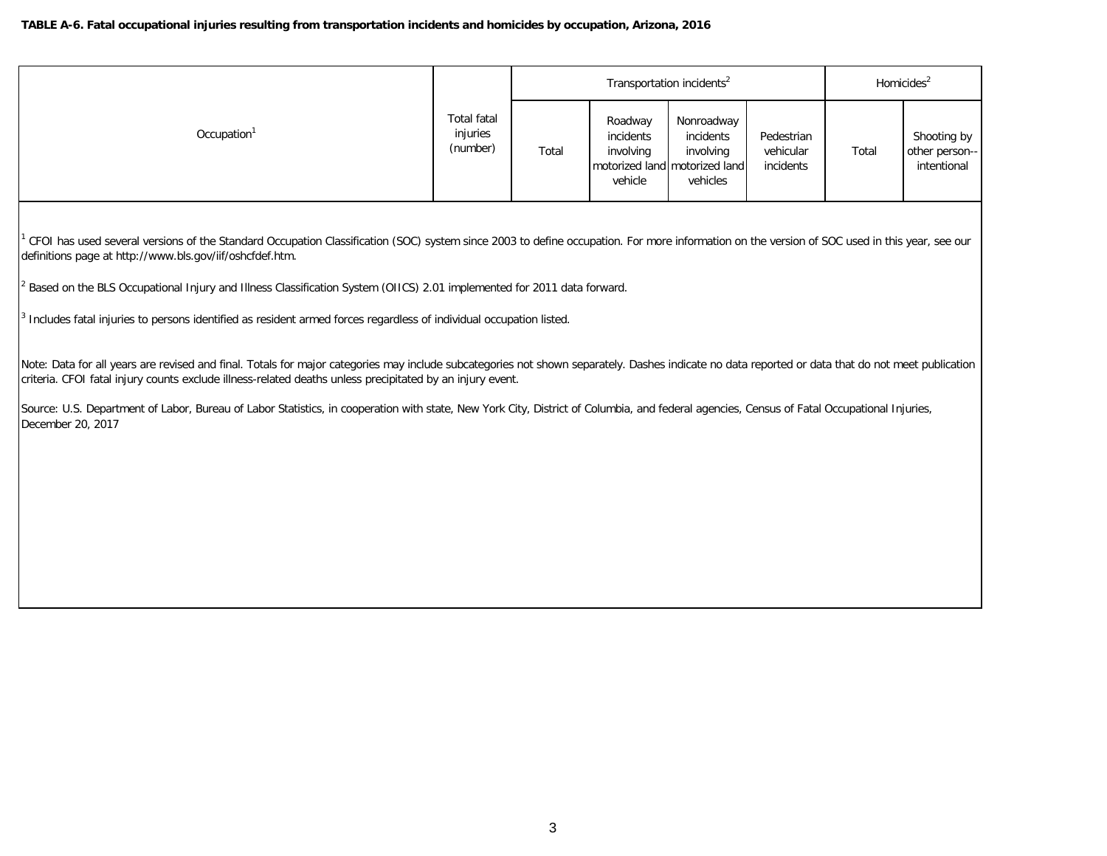|                         |                                     |       | Transportation incidents <sup>2</sup>        | Homicides <sup>2</sup>                                                            |                                      |       |                                              |
|-------------------------|-------------------------------------|-------|----------------------------------------------|-----------------------------------------------------------------------------------|--------------------------------------|-------|----------------------------------------------|
| Occupation <sup>1</sup> | Total fatal<br>injuries<br>(number) | Total | Roadway<br>incidents<br>involving<br>vehicle | Nonroadway<br>incidents<br>involving<br>motorized land motorized land<br>vehicles | Pedestrian<br>vehicular<br>incidents | Total | Shooting by<br>other person--<br>intentional |

<sup>1</sup> CFOI has used several versions of the Standard Occupation Classification (SOC) system since 2003 to define occupation. For more information on the version of SOC used in this year, see our definitions page at http://www.bls.gov/iif/oshcfdef.htm.

2 Based on the BLS Occupational Injury and Illness Classification System (OIICS) 2.01 implemented for 2011 data forward.

<sup>3</sup> Includes fatal injuries to persons identified as resident armed forces regardless of individual occupation listed.

Note: Data for all years are revised and final. Totals for major categories may include subcategories not shown separately. Dashes indicate no data reported or data that do not meet publication criteria. CFOI fatal injury counts exclude illness-related deaths unless precipitated by an injury event.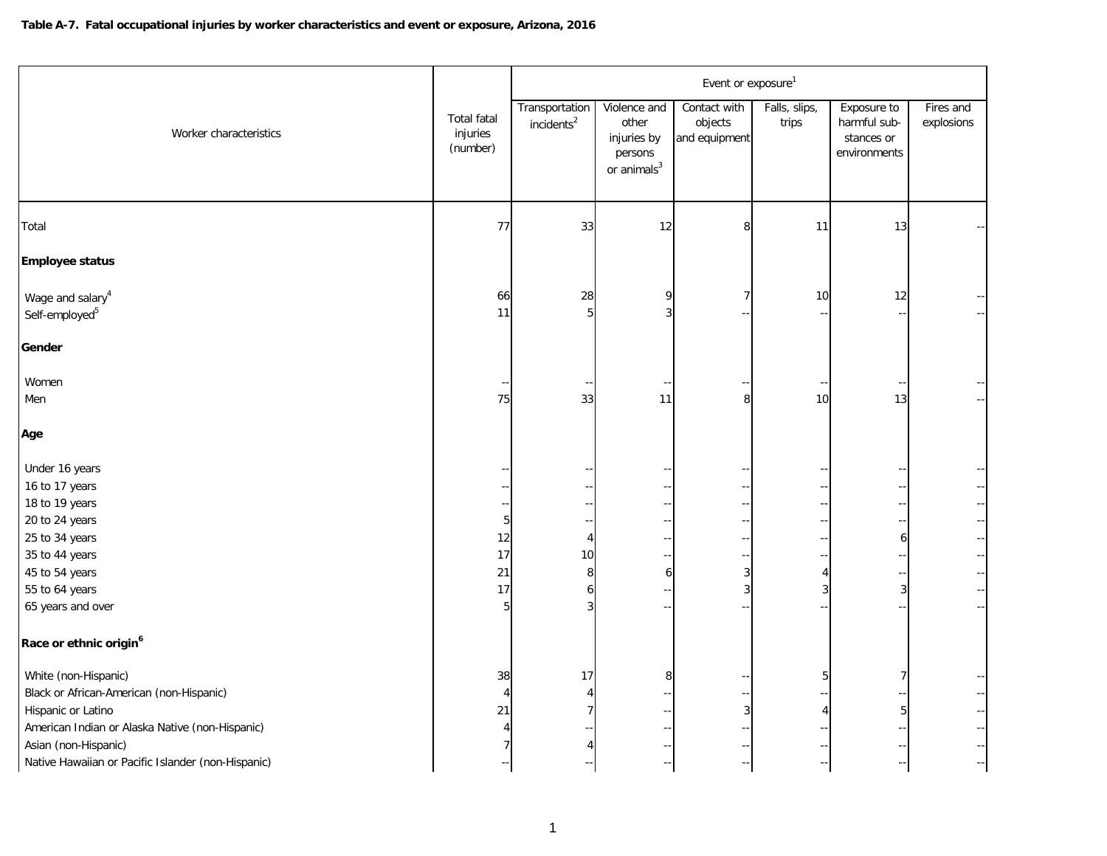|                                                                                                                                                                                                                         |                                            | Event or exposure <sup>1</sup>           |                                                                            |                                          |                        |                                                                  |                                                     |  |  |  |
|-------------------------------------------------------------------------------------------------------------------------------------------------------------------------------------------------------------------------|--------------------------------------------|------------------------------------------|----------------------------------------------------------------------------|------------------------------------------|------------------------|------------------------------------------------------------------|-----------------------------------------------------|--|--|--|
| Worker characteristics                                                                                                                                                                                                  | <b>Total fatal</b><br>injuries<br>(number) | Transportation<br>incidents <sup>2</sup> | Violence and<br>other<br>injuries by<br>persons<br>or animals <sup>3</sup> | Contact with<br>objects<br>and equipment | Falls, slips,<br>trips | Exposure to<br>harmful sub-<br>stances or<br>environments        | Fires and<br>explosions                             |  |  |  |
| Total                                                                                                                                                                                                                   | 77                                         | 33                                       | 12                                                                         | 8                                        | 11                     | 13                                                               |                                                     |  |  |  |
| <b>Employee status</b>                                                                                                                                                                                                  |                                            |                                          |                                                                            |                                          |                        |                                                                  |                                                     |  |  |  |
| Wage and salary <sup>4</sup><br>Self-employed <sup>5</sup>                                                                                                                                                              | 66<br>11                                   | 28<br>5 <sup>1</sup>                     | 9<br>3                                                                     |                                          | 10                     | 12                                                               |                                                     |  |  |  |
| Gender                                                                                                                                                                                                                  |                                            |                                          |                                                                            |                                          |                        |                                                                  |                                                     |  |  |  |
| Women<br>Men                                                                                                                                                                                                            | 75                                         | 33                                       | 11                                                                         | 8                                        | 10                     | 13                                                               |                                                     |  |  |  |
| Age                                                                                                                                                                                                                     |                                            |                                          |                                                                            |                                          |                        |                                                                  |                                                     |  |  |  |
| Under 16 years<br>16 to 17 years<br>18 to 19 years<br>20 to 24 years<br>25 to 34 years<br>35 to 44 years<br>45 to 54 years<br>55 to 64 years<br>65 years and over<br>Race or ethnic origin <sup>6</sup>                 | 5<br>12<br>17<br>21<br>17<br>5             | 4<br>10<br>8<br>6<br>3                   | $- -$<br>$\overline{a}$<br>6<br>$\sim$                                     | 3<br>3                                   | $\overline{4}$<br>3    | $\overline{\phantom{a}}$<br>۰-<br>6<br>٠.<br>$\overline{a}$<br>3 | -- <br>$\overline{\phantom{a}}$<br>-- <br>$-$<br>-- |  |  |  |
| White (non-Hispanic)<br>Black or African-American (non-Hispanic)<br>Hispanic or Latino<br>American Indian or Alaska Native (non-Hispanic)<br>Asian (non-Hispanic)<br>Native Hawaiian or Pacific Islander (non-Hispanic) | 38<br>$\overline{4}$<br>21<br>4<br>7       | 17<br>4<br>7<br>4                        | 8                                                                          | $\mathbf{3}$                             | 5<br>4                 | 7<br>$\mathbf 5$                                                 | Н,<br>$-$<br>$-\,$ –<br>$-$                         |  |  |  |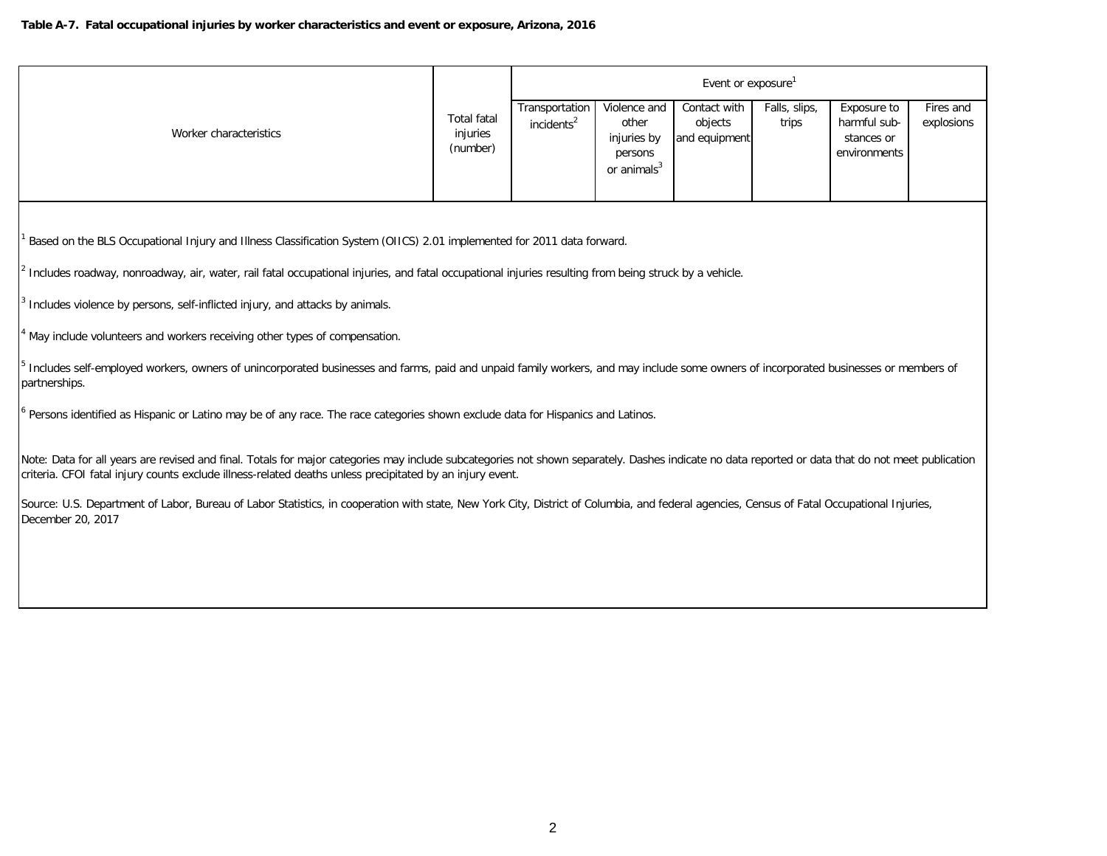|                                                                                                                                                                                                                                                                                                                |                                            |                                          |                                                                  | Event or exposure <sup>1</sup>           |                        |                                                           |                         |  |  |  |  |
|----------------------------------------------------------------------------------------------------------------------------------------------------------------------------------------------------------------------------------------------------------------------------------------------------------------|--------------------------------------------|------------------------------------------|------------------------------------------------------------------|------------------------------------------|------------------------|-----------------------------------------------------------|-------------------------|--|--|--|--|
| Worker characteristics                                                                                                                                                                                                                                                                                         | <b>Total fatal</b><br>injuries<br>(number) | Transportation<br>incidents <sup>2</sup> | Violence and<br>other<br>injuries by<br>persons<br>or $animals3$ | Contact with<br>objects<br>and equipment | Falls, slips,<br>trips | Exposure to<br>harmful sub-<br>stances or<br>environments | Fires and<br>explosions |  |  |  |  |
| Based on the BLS Occupational Injury and Illness Classification System (OIICS) 2.01 implemented for 2011 data forward.                                                                                                                                                                                         |                                            |                                          |                                                                  |                                          |                        |                                                           |                         |  |  |  |  |
| Includes roadway, nonroadway, air, water, rail fatal occupational injuries, and fatal occupational injuries resulting from being struck by a vehicle.                                                                                                                                                          |                                            |                                          |                                                                  |                                          |                        |                                                           |                         |  |  |  |  |
| Includes violence by persons, self-inflicted injury, and attacks by animals.                                                                                                                                                                                                                                   |                                            |                                          |                                                                  |                                          |                        |                                                           |                         |  |  |  |  |
| May include volunteers and workers receiving other types of compensation.                                                                                                                                                                                                                                      |                                            |                                          |                                                                  |                                          |                        |                                                           |                         |  |  |  |  |
| Includes self-employed workers, owners of unincorporated businesses and farms, paid and unpaid family workers, and may include some owners of incorporated businesses or members of<br>partnerships.                                                                                                           |                                            |                                          |                                                                  |                                          |                        |                                                           |                         |  |  |  |  |
| Persons identified as Hispanic or Latino may be of any race. The race categories shown exclude data for Hispanics and Latinos.                                                                                                                                                                                 |                                            |                                          |                                                                  |                                          |                        |                                                           |                         |  |  |  |  |
| Note: Data for all years are revised and final. Totals for major categories may include subcategories not shown separately. Dashes indicate no data reported or data that do not meet publication<br>criteria. CFOI fatal injury counts exclude illness-related deaths unless precipitated by an injury event. |                                            |                                          |                                                                  |                                          |                        |                                                           |                         |  |  |  |  |
| Source: U.S. Department of Labor, Bureau of Labor Statistics, in cooperation with state, New York City, District of Columbia, and federal agencies, Census of Fatal Occupational Injuries,<br>December 20, 2017                                                                                                |                                            |                                          |                                                                  |                                          |                        |                                                           |                         |  |  |  |  |
|                                                                                                                                                                                                                                                                                                                |                                            |                                          |                                                                  |                                          |                        |                                                           |                         |  |  |  |  |
|                                                                                                                                                                                                                                                                                                                |                                            |                                          |                                                                  |                                          |                        |                                                           |                         |  |  |  |  |
|                                                                                                                                                                                                                                                                                                                |                                            |                                          |                                                                  |                                          |                        |                                                           |                         |  |  |  |  |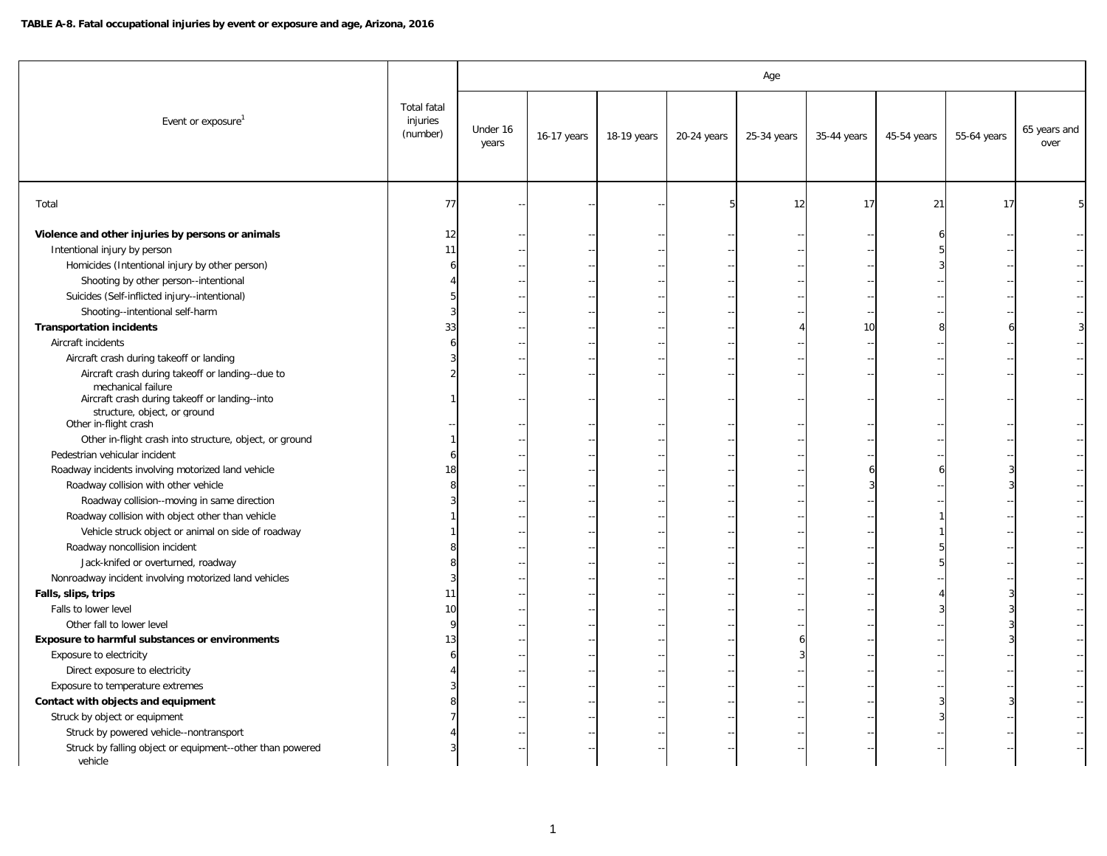## **TABLE A-8. Fatal occupational injuries by event or exposure and age, Arizona, 2016**

|                                                                                                                                                          |                                            | Age               |             |             |             |             |             |             |             |                      |  |  |  |
|----------------------------------------------------------------------------------------------------------------------------------------------------------|--------------------------------------------|-------------------|-------------|-------------|-------------|-------------|-------------|-------------|-------------|----------------------|--|--|--|
| Event or exposure                                                                                                                                        | <b>Total fatal</b><br>injuries<br>(number) | Under 16<br>years | 16-17 years | 18-19 years | 20-24 years | 25-34 years | 35-44 years | 45-54 years | 55-64 years | 65 years and<br>over |  |  |  |
| Total                                                                                                                                                    | 77                                         |                   |             |             |             | 12          | 17          | 21          | 17          |                      |  |  |  |
| Violence and other injuries by persons or animals<br>Intentional injury by person                                                                        | 12<br>11                                   |                   |             |             |             |             |             |             |             |                      |  |  |  |
|                                                                                                                                                          |                                            |                   |             |             |             |             |             |             |             |                      |  |  |  |
| Homicides (Intentional injury by other person)                                                                                                           |                                            |                   |             |             |             |             |             |             |             |                      |  |  |  |
| Shooting by other person--intentional                                                                                                                    |                                            |                   |             |             |             |             |             |             |             |                      |  |  |  |
| Suicides (Self-inflicted injury--intentional)                                                                                                            |                                            |                   |             |             |             |             |             |             |             |                      |  |  |  |
| Shooting--intentional self-harm                                                                                                                          |                                            |                   |             |             |             |             |             |             |             |                      |  |  |  |
| <b>Transportation incidents</b>                                                                                                                          | 33                                         |                   |             |             |             |             | 10          |             |             |                      |  |  |  |
| Aircraft incidents                                                                                                                                       |                                            |                   |             |             |             |             |             |             |             |                      |  |  |  |
| Aircraft crash during takeoff or landing                                                                                                                 |                                            |                   |             |             |             |             |             |             |             |                      |  |  |  |
| Aircraft crash during takeoff or landing--due to<br>mechanical failure<br>Aircraft crash during takeoff or landing--into<br>structure, object, or ground |                                            |                   |             |             |             |             |             |             |             |                      |  |  |  |
| Other in-flight crash                                                                                                                                    |                                            |                   |             |             |             |             |             |             |             |                      |  |  |  |
| Other in-flight crash into structure, object, or ground                                                                                                  |                                            |                   |             |             |             |             |             |             |             |                      |  |  |  |
| Pedestrian vehicular incident                                                                                                                            |                                            |                   |             |             |             |             |             |             |             |                      |  |  |  |
| Roadway incidents involving motorized land vehicle                                                                                                       |                                            |                   |             |             |             |             |             |             |             |                      |  |  |  |
| Roadway collision with other vehicle                                                                                                                     |                                            |                   |             |             |             |             |             |             |             |                      |  |  |  |
| Roadway collision--moving in same direction                                                                                                              |                                            |                   |             |             |             |             |             |             |             |                      |  |  |  |
| Roadway collision with object other than vehicle                                                                                                         |                                            |                   |             |             |             |             |             |             |             |                      |  |  |  |
| Vehicle struck object or animal on side of roadway                                                                                                       |                                            |                   |             |             |             |             |             |             |             |                      |  |  |  |
| Roadway noncollision incident                                                                                                                            |                                            |                   |             |             |             |             |             |             |             |                      |  |  |  |
| Jack-knifed or overturned, roadway                                                                                                                       |                                            |                   |             |             |             |             |             |             |             |                      |  |  |  |
| Nonroadway incident involving motorized land vehicles                                                                                                    |                                            |                   |             |             |             |             |             |             |             |                      |  |  |  |
| Falls, slips, trips                                                                                                                                      | 11                                         |                   |             |             |             |             |             |             |             |                      |  |  |  |
| Falls to lower level                                                                                                                                     | 10                                         |                   |             |             |             |             |             |             |             |                      |  |  |  |
| Other fall to lower level                                                                                                                                |                                            |                   |             |             |             |             |             |             |             |                      |  |  |  |
| Exposure to harmful substances or environments                                                                                                           |                                            |                   |             |             |             |             |             |             |             |                      |  |  |  |
| Exposure to electricity                                                                                                                                  |                                            |                   |             |             |             |             |             |             |             |                      |  |  |  |
| Direct exposure to electricity                                                                                                                           |                                            |                   |             |             |             |             |             |             |             |                      |  |  |  |
| Exposure to temperature extremes                                                                                                                         |                                            |                   |             |             |             |             |             |             |             |                      |  |  |  |
| Contact with objects and equipment                                                                                                                       |                                            |                   |             |             |             |             |             |             |             |                      |  |  |  |
| Struck by object or equipment                                                                                                                            |                                            |                   |             |             |             |             |             |             |             |                      |  |  |  |
| Struck by powered vehicle--nontransport                                                                                                                  |                                            |                   |             |             |             |             |             |             |             |                      |  |  |  |
| Struck by falling object or equipment--other than powered<br>vehicle                                                                                     |                                            |                   |             |             |             |             |             |             |             |                      |  |  |  |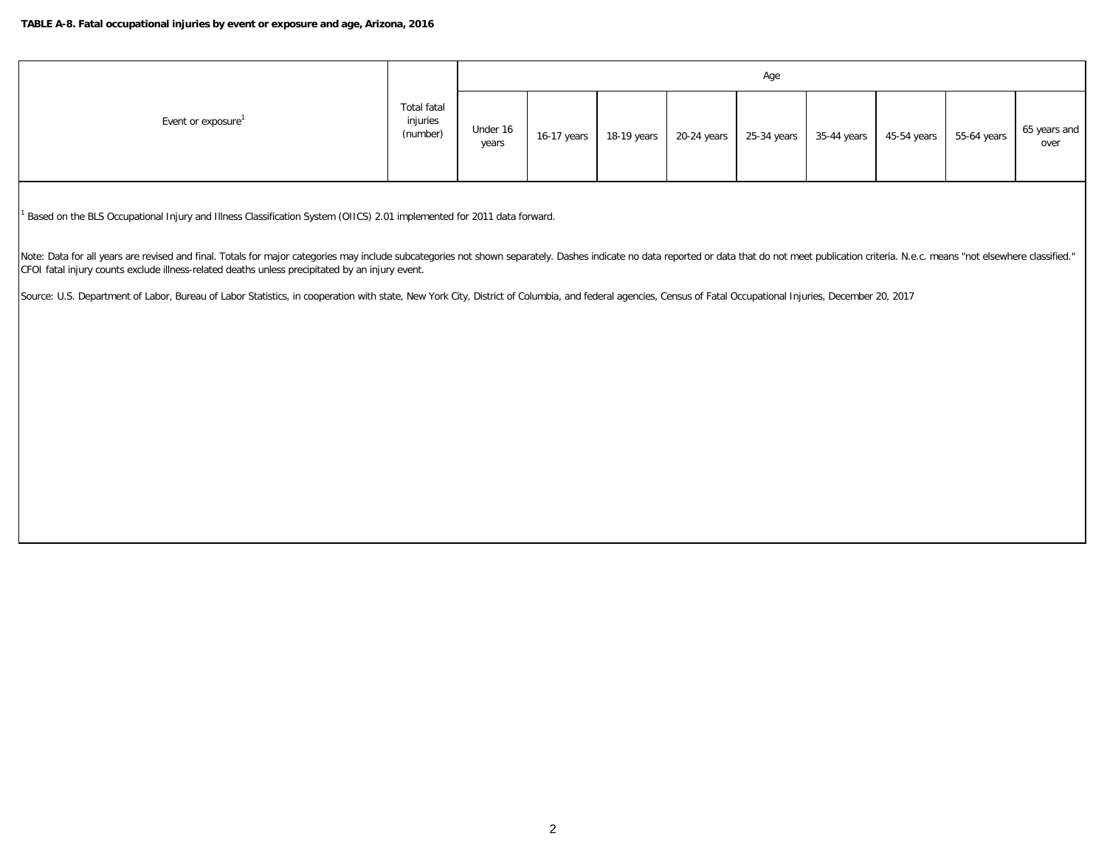|                    |                                     | Age               |             |             |  |  |                                     |             |             |                      |  |  |
|--------------------|-------------------------------------|-------------------|-------------|-------------|--|--|-------------------------------------|-------------|-------------|----------------------|--|--|
| Event or exposure' | Total fatal<br>injuries<br>(number) | Under 16<br>years | 16-17 years | 18-19 years |  |  | 20-24 years 25-34 years 35-44 years | 45-54 years | 55-64 years | 65 years and<br>over |  |  |

<sup>1</sup> Based on the BLS Occupational Injury and Illness Classification System (OIICS) 2.01 implemented for 2011 data forward.

Note: Data for all years are revised and final. Totals for major categories may include subcategories not shown separately. Dashes indicate no data reported or data hat do not meet publication criteria. N.e.c. means "not e CFOI fatal injury counts exclude illness-related deaths unless precipitated by an injury event.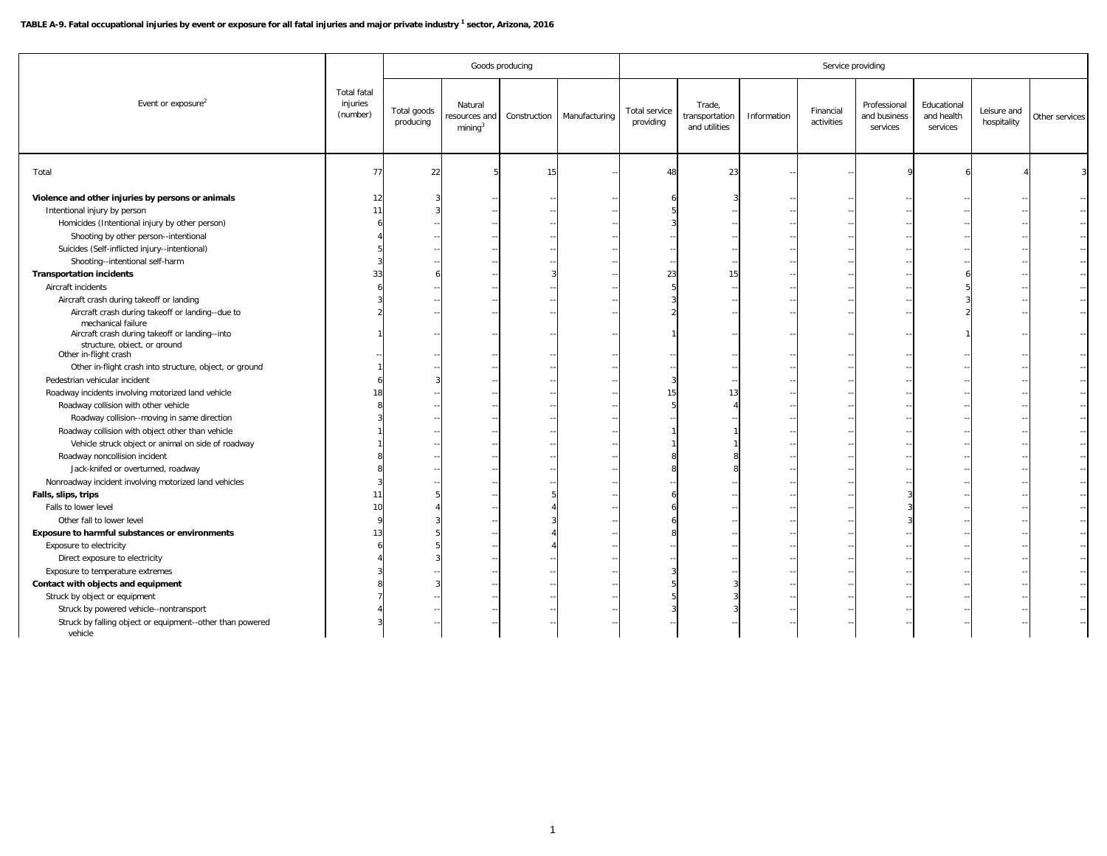## **TABLE A-9. Fatal occupational injuries by event or exposure for all fatal injuries and major private industry 1 sector, Arizona, 2016**

|                                                                                |                                            |                          |                                                | Goods producing |               |                            | Service providing                         |             |                         |                                          |                                       |                            |                |  |  |
|--------------------------------------------------------------------------------|--------------------------------------------|--------------------------|------------------------------------------------|-----------------|---------------|----------------------------|-------------------------------------------|-------------|-------------------------|------------------------------------------|---------------------------------------|----------------------------|----------------|--|--|
| Event or exposure <sup>2</sup>                                                 | <b>Total fatal</b><br>injuries<br>(number) | Total goods<br>producing | Natural<br>esources and<br>mining <sup>3</sup> | Construction    | Manufacturing | Total service<br>providing | Trade,<br>transportation<br>and utilities | Information | Financial<br>activities | Professional<br>and business<br>services | Educational<br>and health<br>services | Leisure and<br>hospitality | Other services |  |  |
| Total                                                                          | 77                                         | 22                       |                                                | 15              |               | 48                         | 23                                        |             |                         |                                          |                                       |                            |                |  |  |
| Violence and other injuries by persons or animals                              | 12                                         |                          |                                                |                 |               |                            |                                           |             |                         |                                          |                                       |                            |                |  |  |
| Intentional injury by person                                                   | 11                                         |                          |                                                |                 |               |                            |                                           |             |                         |                                          |                                       |                            |                |  |  |
| Homicides (Intentional injury by other person)                                 |                                            |                          |                                                |                 |               |                            |                                           |             |                         |                                          |                                       |                            |                |  |  |
| Shooting by other person--intentional                                          |                                            |                          |                                                |                 |               |                            |                                           |             |                         |                                          |                                       |                            |                |  |  |
| Suicides (Self-inflicted injury--intentional)                                  |                                            |                          |                                                |                 |               |                            |                                           |             |                         |                                          |                                       |                            |                |  |  |
| Shooting--intentional self-harm                                                |                                            |                          |                                                |                 |               |                            |                                           |             |                         |                                          |                                       |                            |                |  |  |
| <b>Transportation incidents</b>                                                | 33                                         |                          |                                                |                 |               | 23                         |                                           |             |                         |                                          |                                       |                            |                |  |  |
| Aircraft incidents                                                             |                                            |                          |                                                |                 |               |                            |                                           |             |                         |                                          |                                       |                            |                |  |  |
| Aircraft crash during takeoff or landing                                       |                                            |                          |                                                |                 |               |                            |                                           |             |                         |                                          |                                       |                            |                |  |  |
| Aircraft crash during takeoff or landing--due to<br>mechanical failure         |                                            |                          |                                                |                 |               |                            |                                           |             |                         |                                          |                                       |                            |                |  |  |
| Aircraft crash during takeoff or landing--into<br>structure, object, or ground |                                            |                          |                                                |                 |               |                            |                                           |             |                         |                                          |                                       |                            |                |  |  |
| Other in-flight crash                                                          |                                            |                          |                                                |                 |               |                            |                                           |             |                         |                                          |                                       |                            |                |  |  |
| Other in-flight crash into structure, object, or ground                        |                                            |                          |                                                |                 |               |                            |                                           |             |                         |                                          |                                       |                            |                |  |  |
| Pedestrian vehicular incident                                                  |                                            |                          |                                                |                 |               |                            |                                           |             |                         |                                          |                                       |                            |                |  |  |
| Roadway incidents involving motorized land vehicle                             |                                            |                          |                                                |                 |               | 15                         | $1^{\circ}$                               |             |                         |                                          |                                       |                            |                |  |  |
| Roadway collision with other vehicle                                           |                                            |                          |                                                |                 |               |                            |                                           |             |                         |                                          |                                       |                            |                |  |  |
| Roadway collision--moving in same direction                                    |                                            |                          |                                                |                 |               |                            |                                           |             |                         |                                          |                                       |                            |                |  |  |
| Roadway collision with object other than vehicle                               |                                            |                          |                                                |                 |               |                            |                                           |             |                         |                                          |                                       |                            |                |  |  |
| Vehicle struck object or animal on side of roadway                             |                                            |                          |                                                |                 |               |                            |                                           |             |                         |                                          |                                       |                            |                |  |  |
| Roadway noncollision incident                                                  |                                            |                          |                                                |                 |               |                            |                                           |             |                         |                                          |                                       |                            |                |  |  |
| Jack-knifed or overturned, roadway                                             |                                            |                          |                                                |                 |               |                            |                                           |             |                         |                                          |                                       |                            |                |  |  |
| Nonroadway incident involving motorized land vehicles                          |                                            |                          |                                                |                 |               |                            |                                           |             |                         |                                          |                                       |                            |                |  |  |
| Falls, slips, trips                                                            |                                            |                          |                                                |                 |               |                            |                                           |             |                         |                                          |                                       |                            |                |  |  |
| Falls to lower level                                                           |                                            |                          |                                                |                 |               |                            |                                           |             |                         |                                          |                                       |                            |                |  |  |
| Other fall to lower level                                                      |                                            |                          |                                                |                 |               |                            |                                           |             |                         |                                          |                                       |                            |                |  |  |
| Exposure to harmful substances or environments                                 |                                            |                          |                                                |                 |               |                            |                                           |             |                         |                                          |                                       |                            |                |  |  |
| Exposure to electricity                                                        |                                            |                          |                                                |                 |               |                            |                                           |             |                         |                                          |                                       |                            |                |  |  |
| Direct exposure to electricity                                                 |                                            |                          |                                                |                 |               |                            |                                           |             |                         |                                          |                                       |                            |                |  |  |
| Exposure to temperature extremes                                               |                                            |                          |                                                |                 |               |                            |                                           |             |                         |                                          |                                       |                            |                |  |  |
| Contact with objects and equipment                                             |                                            |                          |                                                |                 |               |                            |                                           |             |                         |                                          |                                       |                            |                |  |  |
| Struck by object or equipment                                                  |                                            |                          |                                                |                 |               |                            |                                           |             |                         |                                          |                                       |                            |                |  |  |
| Struck by powered vehicle--nontransport                                        |                                            |                          |                                                |                 |               |                            |                                           |             |                         |                                          |                                       |                            |                |  |  |
| Struck by falling object or equipment--other than powered<br>vehicle           |                                            |                          |                                                |                 |               |                            |                                           |             |                         |                                          |                                       |                            |                |  |  |